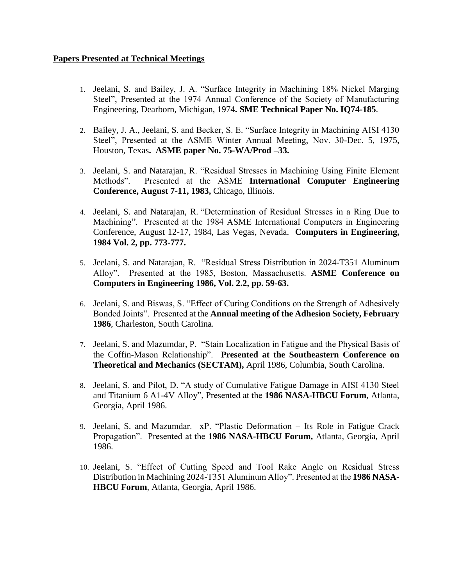## **Papers Presented at Technical Meetings**

- 1. Jeelani, S. and Bailey, J. A. "Surface Integrity in Machining 18% Nickel Marging Steel", Presented at the 1974 Annual Conference of the Society of Manufacturing Engineering, Dearborn, Michigan, 1974**. SME Technical Paper No. IQ74-185**.
- 2. Bailey, J. A., Jeelani, S. and Becker, S. E. "Surface Integrity in Machining AISI 4130 Steel", Presented at the ASME Winter Annual Meeting, Nov. 30-Dec. 5, 1975, Houston, Texas**. ASME paper No. 75-WA/Prod –33.**
- 3. Jeelani, S. and Natarajan, R. "Residual Stresses in Machining Using Finite Element Methods". Presented at the ASME **International Computer Engineering Conference, August 7-11, 1983,** Chicago, Illinois.
- 4. Jeelani, S. and Natarajan, R. "Determination of Residual Stresses in a Ring Due to Machining". Presented at the 1984 ASME International Computers in Engineering Conference, August 12-17, 1984, Las Vegas, Nevada. **Computers in Engineering, 1984 Vol. 2, pp. 773-777.**
- 5. Jeelani, S. and Natarajan, R. "Residual Stress Distribution in 2024-T351 Aluminum Alloy". Presented at the 1985, Boston, Massachusetts. **ASME Conference on Computers in Engineering 1986, Vol. 2.2, pp. 59-63.**
- 6. Jeelani, S. and Biswas, S. "Effect of Curing Conditions on the Strength of Adhesively Bonded Joints". Presented at the **Annual meeting of the Adhesion Society, February 1986**, Charleston, South Carolina.
- 7. Jeelani, S. and Mazumdar, P. "Stain Localization in Fatigue and the Physical Basis of the Coffin-Mason Relationship". **Presented at the Southeastern Conference on Theoretical and Mechanics (SECTAM),** April 1986, Columbia, South Carolina.
- 8. Jeelani, S. and Pilot, D. "A study of Cumulative Fatigue Damage in AISI 4130 Steel and Titanium 6 A1-4V Alloy", Presented at the **1986 NASA-HBCU Forum**, Atlanta, Georgia, April 1986.
- 9. Jeelani, S. and Mazumdar. xP. "Plastic Deformation Its Role in Fatigue Crack Propagation". Presented at the **1986 NASA-HBCU Forum,** Atlanta, Georgia, April 1986.
- 10. Jeelani, S. "Effect of Cutting Speed and Tool Rake Angle on Residual Stress Distribution in Machining 2024-T351 Aluminum Alloy". Presented at the **1986 NASA-HBCU Forum**, Atlanta, Georgia, April 1986.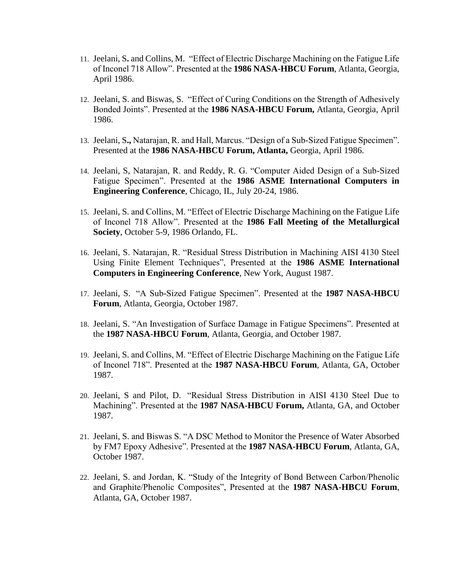- 11. Jeelani, S**.** and Collins, M. "Effect of Electric Discharge Machining on the Fatigue Life of Inconel 718 Allow". Presented at the **1986 NASA-HBCU Forum**, Atlanta, Georgia, April 1986.
- 12. Jeelani, S. and Biswas, S. "Effect of Curing Conditions on the Strength of Adhesively Bonded Joints". Presented at the **1986 NASA-HBCU Forum,** Atlanta, Georgia, April 1986.
- 13. Jeelani, S**.,** Natarajan, R. and Hall, Marcus. "Design of a Sub-Sized Fatigue Specimen". Presented at the **1986 NASA-HBCU Forum, Atlanta,** Georgia, April 1986.
- 14. Jeelani, S, Natarajan, R. and Reddy, R. G. "Computer Aided Design of a Sub-Sized Fatigue Specimen". Presented at the **1986 ASME International Computers in Engineering Conference**, Chicago, IL, July 20-24, 1986.
- 15. Jeelani, S. and Collins, M. "Effect of Electric Discharge Machining on the Fatigue Life of Inconel 718 Allow". Presented at the **1986 Fall Meeting of the Metallurgical Society**, October 5-9, 1986 Orlando, FL.
- 16. Jeelani, S. Natarajan, R. "Residual Stress Distribution in Machining AISI 4130 Steel Using Finite Element Techniques", Presented at the **1986 ASME International Computers in Engineering Conference**, New York, August 1987.
- 17. Jeelani, S. "A Sub-Sized Fatigue Specimen". Presented at the **1987 NASA-HBCU Forum**, Atlanta, Georgia, October 1987.
- 18. Jeelani, S. "An Investigation of Surface Damage in Fatigue Specimens". Presented at the **1987 NASA-HBCU Forum**, Atlanta, Georgia, and October 1987.
- 19. Jeelani, S. and Collins, M. "Effect of Electric Discharge Machining on the Fatigue Life of Inconel 718". Presented at the **1987 NASA-HBCU Forum**, Atlanta, GA, October 1987.
- 20. Jeelani, S and Pilot, D. "Residual Stress Distribution in AISI 4130 Steel Due to Machining". Presented at the **1987 NASA-HBCU Forum,** Atlanta, GA, and October 1987.
- 21. Jeelani, S. and Biswas S. "A DSC Method to Monitor the Presence of Water Absorbed by FM7 Epoxy Adhesive". Presented at the **1987 NASA-HBCU Forum**, Atlanta, GA, October 1987.
- 22. Jeelani, S. and Jordan, K. "Study of the Integrity of Bond Between Carbon/Phenolic and Graphite/Phenolic Composites", Presented at the **1987 NASA-HBCU Forum**, Atlanta, GA, October 1987.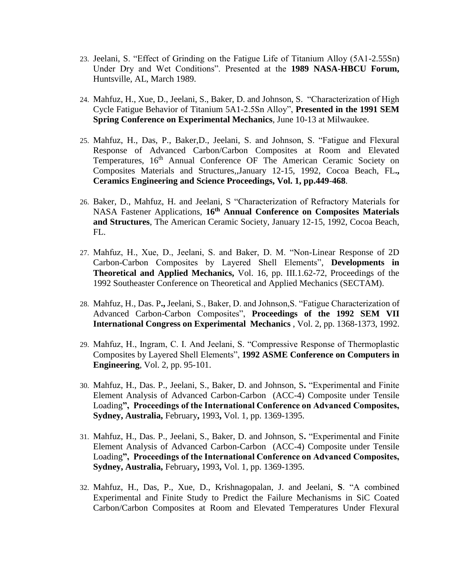- 23. Jeelani, S. "Effect of Grinding on the Fatigue Life of Titanium Alloy (5A1-2.55Sn) Under Dry and Wet Conditions". Presented at the **1989 NASA-HBCU Forum,** Huntsville, AL, March 1989.
- 24. Mahfuz, H., Xue, D., Jeelani, S., Baker, D. and Johnson, S. "Characterization of High Cycle Fatigue Behavior of Titanium 5A1-2.5Sn Alloy", **Presented in the 1991 SEM Spring Conference on Experimental Mechanics**, June 10-13 at Milwaukee.
- 25. Mahfuz, H., Das, P., Baker,D., Jeelani, S. and Johnson, S. "Fatigue and Flexural Response of Advanced Carbon/Carbon Composites at Room and Elevated Temperatures, 16<sup>th</sup> Annual Conference OF The American Ceramic Society on Composites Materials and Structures,,January 12-15, 1992, Cocoa Beach, FL**., Ceramics Engineering and Science Proceedings, Vol. 1, pp.449**-**468**.
- 26. Baker, D., Mahfuz, H. and Jeelani, S "Characterization of Refractory Materials for NASA Fastener Applications, **16th Annual Conference on Composites Materials and Structures**, The American Ceramic Society, January 12-15, 1992, Cocoa Beach, FL.
- 27. Mahfuz, H., Xue, D., Jeelani, S. and Baker, D. M. "Non-Linear Response of 2D Carbon-Carbon Composites by Layered Shell Elements", **Developments in Theoretical and Applied Mechanics,** Vol. 16, pp. III.1.62-72, Proceedings of the 1992 Southeaster Conference on Theoretical and Applied Mechanics (SECTAM).
- 28. Mahfuz, H., Das. P**.,** Jeelani, S., Baker, D. and Johnson,S. "Fatigue Characterization of Advanced Carbon-Carbon Composites", **Proceedings of the 1992 SEM VII International Congress on Experimental Mechanics** , Vol. 2, pp. 1368-1373, 1992.
- 29. Mahfuz, H., Ingram, C. I. And Jeelani, S. "Compressive Response of Thermoplastic Composites by Layered Shell Elements", **1992 ASME Conference on Computers in Engineering**, Vol. 2, pp. 95-101.
- 30. Mahfuz, H., Das. P., Jeelani, S., Baker, D. and Johnson, S**.** "Experimental and Finite Element Analysis of Advanced Carbon-Carbon (ACC-4) Composite under Tensile Loading**", Proceedings of the International Conference on Advanced Composites, Sydney, Australia,** February**,** 1993**,** Vol. 1, pp. 1369-1395.
- 31. Mahfuz, H., Das. P., Jeelani, S., Baker, D. and Johnson, S**.** "Experimental and Finite Element Analysis of Advanced Carbon-Carbon (ACC-4) Composite under Tensile Loading**", Proceedings of the International Conference on Advanced Composites, Sydney, Australia,** February**,** 1993**,** Vol. 1, pp. 1369-1395.
- 32. Mahfuz, H., Das, P., Xue, D., Krishnagopalan, J. and Jeelani, **S**. "A combined Experimental and Finite Study to Predict the Failure Mechanisms in SiC Coated Carbon/Carbon Composites at Room and Elevated Temperatures Under Flexural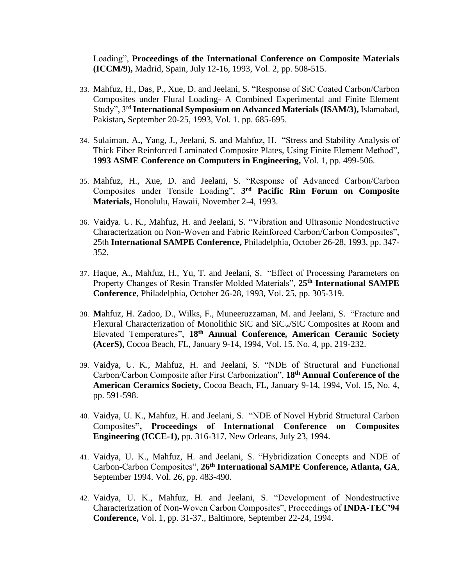Loading", **Proceedings of the International Conference on Composite Materials (ICCM/9),** Madrid, Spain, July 12-16, 1993, Vol. 2, pp. 508-515.

- 33. Mahfuz, H., Das, P., Xue, D. and Jeelani, S. "Response of SiC Coated Carbon/Carbon Composites under Flural Loading- A Combined Experimental and Finite Element Study", 3rd **International Symposium on Advanced Materials (ISAM/3),** Islamabad, Pakistan**,** September 20-25, 1993, Vol. 1. pp. 685-695.
- 34. Sulaiman, A**.**, Yang, J., Jeelani, S. and Mahfuz, H. "Stress and Stability Analysis of Thick Fiber Reinforced Laminated Composite Plates, Using Finite Element Method", **1993 ASME Conference on Computers in Engineering,** Vol. 1, pp. 499-506.
- 35. Mahfuz, H., Xue, D. and Jeelani, S. "Response of Advanced Carbon/Carbon Composites under Tensile Loading", **3 rd Pacific Rim Forum on Composite Materials,** Honolulu, Hawaii, November 2-4, 1993.
- 36. Vaidya. U. K., Mahfuz, H. and Jeelani, S. "Vibration and Ultrasonic Nondestructive Characterization on Non-Woven and Fabric Reinforced Carbon/Carbon Composites", 25th **International SAMPE Conference,** Philadelphia, October 26-28, 1993, pp. 347- 352.
- 37. Haque, A., Mahfuz, H., Yu, T. and Jeelani, S. "Effect of Processing Parameters on Property Changes of Resin Transfer Molded Materials", **25th International SAMPE Conference**, Philadelphia, October 26-28, 1993, Vol. 25, pp. 305-319.
- 38. **M**ahfuz, H. Zadoo, D., Wilks, F., Muneeruzzaman, M. and Jeelani, S. "Fracture and Flexural Characterization of Monolithic SiC and SiCw/SiC Composites at Room and Elevated Temperatures", **18th Annual Conference, American Ceramic Society (AcerS),** Cocoa Beach, FL, January 9-14, 1994, Vol. 15. No. 4, pp. 219-232.
- 39. Vaidya, U. K., Mahfuz, H. and Jeelani, S. "NDE of Structural and Functional Carbon/Carbon Composite after First Carbonization", **18th Annual Conference of the American Ceramics Society,** Cocoa Beach, FL**,** January 9-14, 1994, Vol. 15, No. 4, pp. 591-598.
- 40. Vaidya, U. K., Mahfuz, H. and Jeelani, S. "NDE of Novel Hybrid Structural Carbon Composites**", Proceedings of International Conference on Composites Engineering (ICCE-1),** pp. 316-317, New Orleans, July 23, 1994.
- 41. Vaidya, U. K., Mahfuz, H. and Jeelani, S. "Hybridization Concepts and NDE of Carbon-Carbon Composites", **26th International SAMPE Conference, Atlanta, GA**, September 1994. Vol. 26, pp. 483-490.
- 42. Vaidya, U. K., Mahfuz, H. and Jeelani, S. "Development of Nondestructive Characterization of Non-Woven Carbon Composites", Proceedings of **INDA-TEC'94 Conference,** Vol. 1, pp. 31-37., Baltimore, September 22-24, 1994.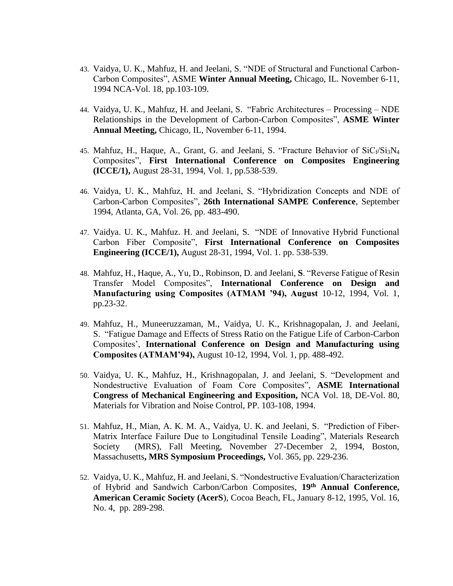- 43. Vaidya, U. K., Mahfuz, H. and Jeelani, S. "NDE of Structural and Functional Carbon-Carbon Composites", ASME **Winter Annual Meeting,** Chicago, IL. November 6-11, 1994 NCA-Vol. 18, pp.103-109.
- 44. Vaidya, U. K., Mahfuz, H. and Jeelani, S. "Fabric Architectures Processing NDE Relationships in the Development of Carbon-Carbon Composites", **ASME Winter Annual Meeting,** Chicago, IL, November 6-11, 1994.
- 45. Mahfuz, H., Haque, A., Grant, G. and Jeelani, S. "Fracture Behavior of  $SiC_f/Si_3N_4$ Composites", **First International Conference on Composites Engineering (ICCE/1),** August 28-31, 1994, Vol. 1, pp.538-539.
- 46. Vaidya, U. K., Mahfuz, H. and Jeelani, S. "Hybridization Concepts and NDE of Carbon-Carbon Composites", **26th International SAMPE Conference**, September 1994, Atlanta, GA, Vol. 26, pp. 483-490.
- 47. Vaidya. U. K., Mahfuz. H. and Jeelani, S. "NDE of Innovative Hybrid Functional Carbon Fiber Composite", **First International Conference on Composites Engineering (ICCE/1),** August 28-31, 1994, Vol. 1. pp. 538-539.
- 48. Mahfuz, H., Haque, A., Yu, D., Robinson, D. and Jeelani, **S**. "Reverse Fatigue of Resin Transfer Model Composites", **International Conference on Design and Manufacturing using Composites (ATMAM '94), August** 10-12, 1994, Vol. 1, pp.23-32.
- 49. Mahfuz, H., Muneeruzzaman, M., Vaidya, U. K., Krishnagopalan, J. and Jeelani, S. "Fatigue Damage and Effects of Stress Ratio on the Fatigue Life of Carbon-Carbon Composites', **International Conference on Design and Manufacturing using Composites (ATMAM'94),** August 10-12, 1994, Vol. 1, pp. 488-492.
- 50. Vaidya, U. K., Mahfuz, H., Krishnagopalan, J. and Jeelani, S. "Development and Nondestructive Evaluation of Foam Core Composites", **ASME International Congress of Mechanical Engineering and Exposition,** NCA Vol. 18, DE-Vol. 80, Materials for Vibration and Noise Control, PP. 103-108, 1994.
- 51. Mahfuz, H., Mian, A. K. M. A., Vaidya, U. K. and Jeelani, S. "Prediction of Fiber-Matrix Interface Failure Due to Longitudinal Tensile Loading", Materials Research Society (MRS), Fall Meeting, November 27-December 2, 1994, Boston, Massachusetts**, MRS Symposium Proceedings,** Vol. 365, pp. 229-236.
- 52. Vaidya, U. K., Mahfuz, H. and Jeelani, S. "Nondestructive Evaluation/Characterization of Hybrid and Sandwich Carbon/Carbon Composites, **19th Annual Conference, American Ceramic Society (AcerS**), Cocoa Beach, FL, January 8-12, 1995, Vol. 16, No. 4, pp. 289-298.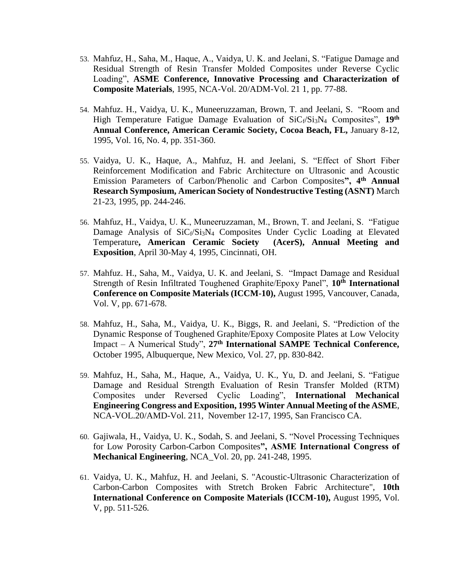- 53. Mahfuz, H., Saha, M., Haque, A., Vaidya, U. K. and Jeelani, S. "Fatigue Damage and Residual Strength of Resin Transfer Molded Composites under Reverse Cyclic Loading", **ASME Conference, Innovative Processing and Characterization of Composite Materials**, 1995, NCA-Vol. 20/ADM-Vol. 21 1, pp. 77-88.
- 54. Mahfuz. H., Vaidya, U. K., Muneeruzzaman, Brown, T. and Jeelani, S. "Room and High Temperature Fatigue Damage Evaluation of  $\text{SiC}_f/\text{Si}_3\text{N}_4$  Composites", 19<sup>th</sup> **Annual Conference, American Ceramic Society, Cocoa Beach, FL,** January 8-12, 1995, Vol. 16, No. 4, pp. 351-360.
- 55. Vaidya, U. K., Haque, A., Mahfuz, H. and Jeelani, S. "Effect of Short Fiber Reinforcement Modification and Fabric Architecture on Ultrasonic and Acoustic Emission Parameters of Carbon/Phenolic and Carbon Composites**", 4th Annual Research Symposium, American Society of Nondestructive Testing (ASNT)** March 21-23, 1995, pp. 244-246.
- 56. Mahfuz, H., Vaidya, U. K., Muneeruzzaman, M., Brown, T. and Jeelani, S. "Fatigue Damage Analysis of SiCf/Si<sub>3</sub>N<sub>4</sub> Composites Under Cyclic Loading at Elevated Temperature**, American Ceramic Society (AcerS), Annual Meeting and Exposition**, April 30-May 4, 1995, Cincinnati, OH.
- 57. Mahfuz. H., Saha, M., Vaidya, U. K. and Jeelani, S. "Impact Damage and Residual Strength of Resin Infiltrated Toughened Graphite/Epoxy Panel", **10th International Conference on Composite Materials (ICCM-10),** August 1995, Vancouver, Canada, Vol. V, pp. 671-678.
- 58. Mahfuz, H., Saha, M., Vaidya, U. K., Biggs, R. and Jeelani, S. "Prediction of the Dynamic Response of Toughened Graphite/Epoxy Composite Plates at Low Velocity Impact – A Numerical Study", **27th International SAMPE Technical Conference,**  October 1995, Albuquerque, New Mexico, Vol. 27, pp. 830-842.
- 59. Mahfuz, H., Saha, M., Haque, A., Vaidya, U. K., Yu, D. and Jeelani, S. "Fatigue Damage and Residual Strength Evaluation of Resin Transfer Molded (RTM) Composites under Reversed Cyclic Loading", **International Mechanical Engineering Congress and Exposition, 1995 Winter Annual Meeting of the ASME**, NCA-VOL.20/AMD-Vol. 211, November 12-17, 1995, San Francisco CA.
- 60. Gajiwala, H., Vaidya, U. K., Sodah, S. and Jeelani, S. "Novel Processing Techniques for Low Porosity Carbon-Carbon Composites**", ASME International Congress of Mechanical Engineering**, NCA\_Vol. 20, pp. 241-248, 1995.
- 61. Vaidya, U. K., Mahfuz, H. and Jeelani, S. "Acoustic-Ultrasonic Characterization of Carbon-Carbon Composites with Stretch Broken Fabric Architecture", **10th International Conference on Composite Materials (ICCM-10),** August 1995, Vol. V, pp. 511-526.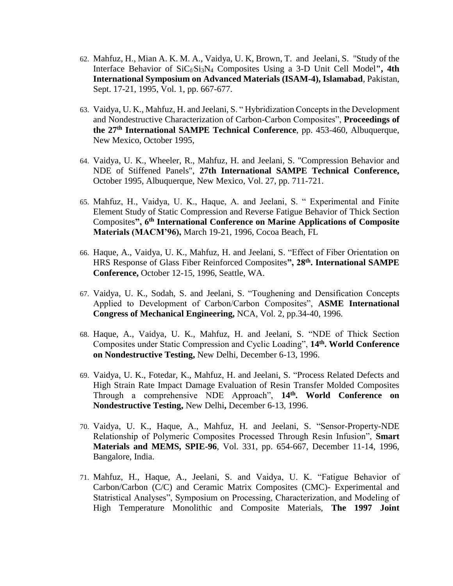- 62. Mahfuz, H., Mian A. K. M. A., Vaidya, U. K, Brown, T. and Jeelani, S. "Study of the Interface Behavior of SiCf<sub>/Si3</sub>N<sub>4</sub> Composites Using a 3-D Unit Cell Model", 4th **International Symposium on Advanced Materials (ISAM-4), Islamabad**, Pakistan, Sept. 17-21, 1995, Vol. 1, pp. 667-677.
- 63. Vaidya, U. K., Mahfuz, H. and Jeelani, S. " Hybridization Concepts in the Development and Nondestructive Characterization of Carbon-Carbon Composites", **Proceedings of the 27th International SAMPE Technical Conference**, pp. 453-460, Albuquerque, New Mexico, October 1995,
- 64. Vaidya, U. K., Wheeler, R., Mahfuz, H. and Jeelani, S. "Compression Behavior and NDE of Stiffened Panels", **27th International SAMPE Technical Conference,**  October 1995, Albuquerque, New Mexico, Vol. 27, pp. 711-721.
- 65. Mahfuz, H., Vaidya, U. K., Haque, A. and Jeelani, S. " Experimental and Finite Element Study of Static Compression and Reverse Fatigue Behavior of Thick Section Composites**", 6th International Conference on Marine Applications of Composite Materials (MACM'96),** March 19-21, 1996, Cocoa Beach, FL
- 66. Haque, A., Vaidya, U. K., Mahfuz, H. and Jeelani, S. "Effect of Fiber Orientation on HRS Response of Glass Fiber Reinforced Composites**", 28th. International SAMPE Conference,** October 12-15, 1996, Seattle, WA.
- 67. Vaidya, U. K., Sodah, S. and Jeelani, S. "Toughening and Densification Concepts Applied to Development of Carbon/Carbon Composites", **ASME International Congress of Mechanical Engineering,** NCA, Vol. 2, pp.34-40, 1996.
- 68. Haque, A., Vaidya, U. K., Mahfuz, H. and Jeelani, S. "NDE of Thick Section Composites under Static Compression and Cyclic Loading", **14th. World Conference on Nondestructive Testing,** New Delhi, December 6-13, 1996.
- 69. Vaidya, U. K., Fotedar, K., Mahfuz, H. and Jeelani, S. "Process Related Defects and High Strain Rate Impact Damage Evaluation of Resin Transfer Molded Composites Through a comprehensive NDE Approach", **14th. World Conference on Nondestructive Testing,** New Delhi**,** December 6-13, 1996.
- 70. Vaidya, U. K., Haque, A., Mahfuz, H. and Jeelani, S. "Sensor-Property-NDE Relationship of Polymeric Composites Processed Through Resin Infusion", **Smart Materials and MEMS, SPIE-96**, Vol. 331, pp. 654-667, December 11-14, 1996, Bangalore, India.
- 71. Mahfuz, H., Haque, A., Jeelani, S. and Vaidya, U. K. "Fatigue Behavior of Carbon/Carbon (C/C) and Ceramic Matrix Composites (CMC)- Experimental and Statristical Analyses", Symposium on Processing, Characterization, and Modeling of High Temperature Monolithic and Composite Materials, **The 1997 Joint**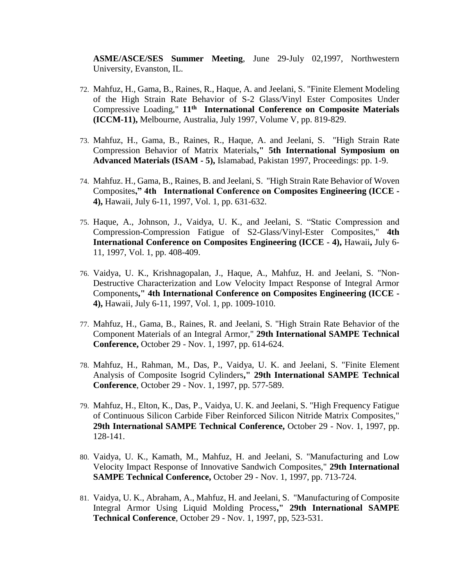**ASME/ASCE/SES Summer Meeting**, June 29-July 02,1997, Northwestern University, Evanston, IL.

- 72. Mahfuz, H., Gama, B., Raines, R., Haque, A. and Jeelani, S. "Finite Element Modeling of the High Strain Rate Behavior of S-2 Glass/Vinyl Ester Composites Under Compressive Loading," **11th International Conference on Composite Materials (ICCM-11),** Melbourne, Australia, July 1997, Volume V, pp. 819-829.
- 73. Mahfuz, H., Gama, B., Raines, R., Haque, A. and Jeelani, S. "High Strain Rate Compression Behavior of Matrix Materials**," 5th International Symposium on Advanced Materials (ISAM - 5),** Islamabad, Pakistan 1997, Proceedings: pp. 1-9.
- 74. Mahfuz. H., Gama, B., Raines, B. and Jeelani, S. "High Strain Rate Behavior of Woven Composites**," 4th International Conference on Composites Engineering (ICCE - 4),** Hawaii, July 6-11, 1997, Vol. 1, pp. 631-632.
- 75. Haque, A., Johnson, J., Vaidya, U. K., and Jeelani, S. "Static Compression and Compression-Compression Fatigue of S2-Glass/Vinyl-Ester Composites," **4th International Conference on Composites Engineering (ICCE - 4),** Hawaii**,** July 6- 11, 1997, Vol. 1, pp. 408-409.
- 76. Vaidya, U. K., Krishnagopalan, J., Haque, A., Mahfuz, H. and Jeelani, S. "Non-Destructive Characterization and Low Velocity Impact Response of Integral Armor Components**," 4th International Conference on Composites Engineering (ICCE - 4),** Hawaii, July 6-11, 1997, Vol. 1, pp. 1009-1010.
- 77. Mahfuz, H., Gama, B., Raines, R. and Jeelani, S. "High Strain Rate Behavior of the Component Materials of an Integral Armor," **29th International SAMPE Technical Conference,** October 29 - Nov. 1, 1997, pp. 614-624.
- 78. Mahfuz, H., Rahman, M., Das, P., Vaidya, U. K. and Jeelani, S. "Finite Element Analysis of Composite Isogrid Cylinders**," 29th International SAMPE Technical Conference**, October 29 - Nov. 1, 1997, pp. 577-589.
- 79. Mahfuz, H., Elton, K., Das, P., Vaidya, U. K. and Jeelani, S. "High Frequency Fatigue of Continuous Silicon Carbide Fiber Reinforced Silicon Nitride Matrix Composites," **29th International SAMPE Technical Conference,** October 29 - Nov. 1, 1997, pp. 128-141.
- 80. Vaidya, U. K., Kamath, M., Mahfuz, H. and Jeelani, S. "Manufacturing and Low Velocity Impact Response of Innovative Sandwich Composites," **29th International SAMPE Technical Conference,** October 29 - Nov. 1, 1997, pp. 713-724.
- 81. Vaidya, U. K., Abraham, A., Mahfuz, H. and Jeelani, S. "Manufacturing of Composite Integral Armor Using Liquid Molding Process**," 29th International SAMPE Technical Conference**, October 29 - Nov. 1, 1997, pp, 523-531.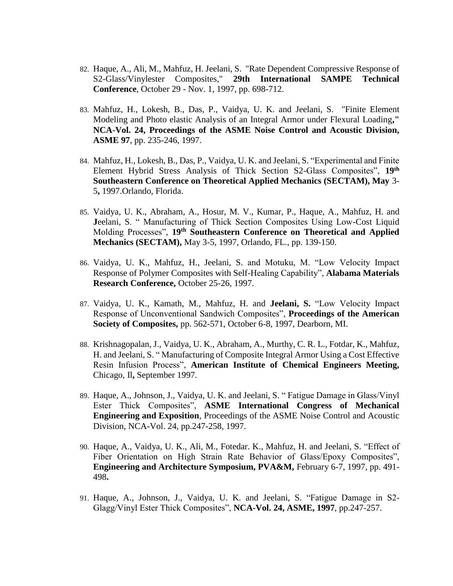- 82. Haque, A., Ali, M., Mahfuz, H. Jeelani, S. "Rate Dependent Compressive Response of S2-Glass/Vinylester Composites," **29th International SAMPE Technical Conference**, October 29 - Nov. 1, 1997, pp. 698-712.
- 83. Mahfuz, H., Lokesh, B., Das, P., Vaidya, U. K. and Jeelani, S. "Finite Element Modeling and Photo elastic Analysis of an Integral Armor under Flexural Loading**," NCA-Vol. 24, Proceedings of the ASME Noise Control and Acoustic Division, ASME 97**, pp. 235-246, 1997.
- 84. Mahfuz, H., Lokesh, B., Das, P., Vaidya, U. K. and Jeelani, S. "Experimental and Finite Element Hybrid Stress Analysis of Thick Section S2-Glass Composites", **19th Southeastern Conference on Theoretical Applied Mechanics (SECTAM), May** 3- 5**,** 1997.Orlando, Florida.
- 85. Vaidya, U. K., Abraham, A., Hosur, M. V., Kumar, P., Haque, A., Mahfuz, H. and **J**eelani, S. " Manufacturing of Thick Section Composites Using Low-Cost Liquid Molding Processes", **19th Southeastern Conference on Theoretical and Applied Mechanics (SECTAM),** May 3-5, 1997, Orlando, FL., pp. 139-150.
- 86. Vaidya, U. K., Mahfuz, H., Jeelani, S. and Motuku, M. "Low Velocity Impact Response of Polymer Composites with Self-Healing Capability", **Alabama Materials Research Conference,** October 25-26, 1997.
- 87. Vaidya, U. K., Kamath, M., Mahfuz, H. and **Jeelani, S.** "Low Velocity Impact Response of Unconventional Sandwich Composites", **Proceedings of the American Society of Composites,** pp. 562-571, October 6-8, 1997, Dearborn, MI.
- 88. Krishnagopalan, J., Vaidya, U. K., Abraham, A., Murthy, C. R. L., Fotdar, K., Mahfuz, H. and Jeelani, S. " Manufacturing of Composite Integral Armor Using a Cost Effective Resin Infusion Process", **American Institute of Chemical Engineers Meeting,**  Chicago, Il**,** September 1997.
- 89. Haque, A., Johnson, J., Vaidya, U. K. and Jeelani, S. " Fatigue Damage in Glass/Vinyl Ester Thick Composites", **ASME International Congress of Mechanical Engineering and Exposition**, Proceedings of the ASME Noise Control and Acoustic Division, NCA-Vol. 24, pp.247-258, 1997.
- 90. Haque, A., Vaidya, U. K., Ali, M., Fotedar. K., Mahfuz, H. and Jeelani, S. "Effect of Fiber Orientation on High Strain Rate Behavior of Glass/Epoxy Composites", **Engineering and Architecture Symposium, PVA&M,** February 6-7, 1997, pp. 491- 498**.**
- 91. Haque, A., Johnson, J., Vaidya, U. K. and Jeelani, S. "Fatigue Damage in S2- Glagg/Vinyl Ester Thick Composites", **NCA-Vol. 24, ASME, 1997**, pp.247-257.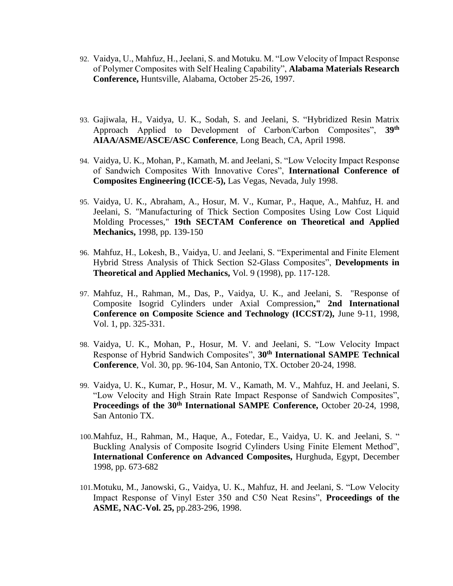- 92. Vaidya, U., Mahfuz, H., Jeelani, S. and Motuku. M. "Low Velocity of Impact Response of Polymer Composites with Self Healing Capability", **Alabama Materials Research Conference,** Huntsville, Alabama, October 25-26, 1997.
- 93. Gajiwala, H., Vaidya, U. K., Sodah, S. and Jeelani, S. "Hybridized Resin Matrix Approach Applied to Development of Carbon/Carbon Composites", **39th AIAA/ASME/ASCE/ASC Conference**, Long Beach, CA, April 1998.
- 94. Vaidya, U. K., Mohan, P., Kamath, M. and Jeelani, S. "Low Velocity Impact Response of Sandwich Composites With Innovative Cores", **International Conference of Composites Engineering (ICCE-5),** Las Vegas, Nevada, July 1998.
- 95. Vaidya, U. K., Abraham, A., Hosur, M. V., Kumar, P., Haque, A., Mahfuz, H. and Jeelani, S. "Manufacturing of Thick Section Composites Using Low Cost Liquid Molding Processes," **19th SECTAM Conference on Theoretical and Applied Mechanics,** 1998, pp. 139-150
- 96. Mahfuz, H., Lokesh, B., Vaidya, U. and Jeelani, S. "Experimental and Finite Element Hybrid Stress Analysis of Thick Section S2-Glass Composites", **Developments in Theoretical and Applied Mechanics,** Vol. 9 (1998), pp. 117-128.
- 97. Mahfuz, H., Rahman, M., Das, P., Vaidya, U. K., and Jeelani, S. "Response of Composite Isogrid Cylinders under Axial Compression**," 2nd International Conference on Composite Science and Technology (ICCST/2),** June 9-11, 1998, Vol. 1, pp. 325-331.
- 98. Vaidya, U. K., Mohan, P., Hosur, M. V. and Jeelani, S. "Low Velocity Impact Response of Hybrid Sandwich Composites", **30th International SAMPE Technical Conference**, Vol. 30, pp. 96-104, San Antonio, TX. October 20-24, 1998.
- 99. Vaidya, U. K., Kumar, P., Hosur, M. V., Kamath, M. V., Mahfuz, H. and Jeelani, S. "Low Velocity and High Strain Rate Impact Response of Sandwich Composites", **Proceedings of the 30th International SAMPE Conference,** October 20-24, 1998, San Antonio TX.
- 100.Mahfuz, H., Rahman, M., Haque, A., Fotedar, E., Vaidya, U. K. and Jeelani, S. " Buckling Analysis of Composite Isogrid Cylinders Using Finite Element Method", **International Conference on Advanced Composites,** Hurghuda, Egypt, December 1998, pp. 673-682
- 101.Motuku, M., Janowski, G., Vaidya, U. K., Mahfuz, H. and Jeelani, S. "Low Velocity Impact Response of Vinyl Ester 350 and C50 Neat Resins", **Proceedings of the ASME, NAC-Vol. 25,** pp.283-296, 1998.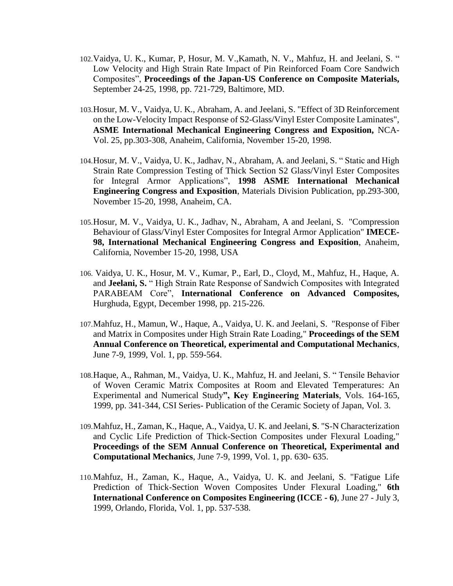- 102.Vaidya, U. K., Kumar, P, Hosur, M. V.,Kamath, N. V., Mahfuz, H. and Jeelani, S. " Low Velocity and High Strain Rate Impact of Pin Reinforced Foam Core Sandwich Composites", **Proceedings of the Japan-US Conference on Composite Materials,** September 24-25, 1998, pp. 721-729, Baltimore, MD.
- 103.Hosur, M. V., Vaidya, U. K., Abraham, A. and Jeelani, S. "Effect of 3D Reinforcement on the Low-Velocity Impact Response of S2-Glass/Vinyl Ester Composite Laminates", **ASME International Mechanical Engineering Congress and Exposition,** NCA-Vol. 25, pp.303-308, Anaheim, California, November 15-20, 1998.
- 104.Hosur, M. V., Vaidya, U. K., Jadhav, N., Abraham, A. and Jeelani, S. " Static and High Strain Rate Compression Testing of Thick Section S2 Glass/Vinyl Ester Composites for Integral Armor Applications", **1998 ASME International Mechanical Engineering Congress and Exposition**, Materials Division Publication, pp.293-300, November 15-20, 1998, Anaheim, CA.
- 105.Hosur, M. V., Vaidya, U. K., Jadhav, N., Abraham, A and Jeelani, S. "Compression Behaviour of Glass/Vinyl Ester Composites for Integral Armor Application" **IMECE-98, International Mechanical Engineering Congress and Exposition**, Anaheim, California, November 15-20, 1998, USA
- 106. Vaidya, U. K., Hosur, M. V., Kumar, P., Earl, D., Cloyd, M., Mahfuz, H., Haque, A. and **Jeelani, S.** " High Strain Rate Response of Sandwich Composites with Integrated PARABEAM Core", **International Conference on Advanced Composites,**  Hurghuda, Egypt, December 1998, pp. 215-226.
- 107.Mahfuz, H., Mamun, W., Haque, A., Vaidya, U. K. and Jeelani, S. "Response of Fiber and Matrix in Composites under High Strain Rate Loading," **Proceedings of the SEM Annual Conference on Theoretical, experimental and Computational Mechanics**, June 7-9, 1999, Vol. 1, pp. 559-564.
- 108.Haque, A., Rahman, M., Vaidya, U. K., Mahfuz, H. and Jeelani, S. " Tensile Behavior of Woven Ceramic Matrix Composites at Room and Elevated Temperatures: An Experimental and Numerical Study**", Key Engineering Materials**, Vols. 164-165, 1999, pp. 341-344, CSI Series- Publication of the Ceramic Society of Japan, Vol. 3.
- 109.Mahfuz, H., Zaman, K., Haque, A., Vaidya, U. K. and Jeelani, **S**. "S-N Characterization and Cyclic Life Prediction of Thick-Section Composites under Flexural Loading," **Proceedings of the SEM Annual Conference on Theoretical, Experimental and Computational Mechanics**, June 7-9, 1999, Vol. 1, pp. 630- 635.
- 110.Mahfuz, H., Zaman, K., Haque, A., Vaidya, U. K. and Jeelani, S. "Fatigue Life Prediction of Thick-Section Woven Composites Under Flexural Loading," **6th International Conference on Composites Engineering (ICCE - 6)**, June 27 - July 3, 1999, Orlando, Florida, Vol. 1, pp. 537-538.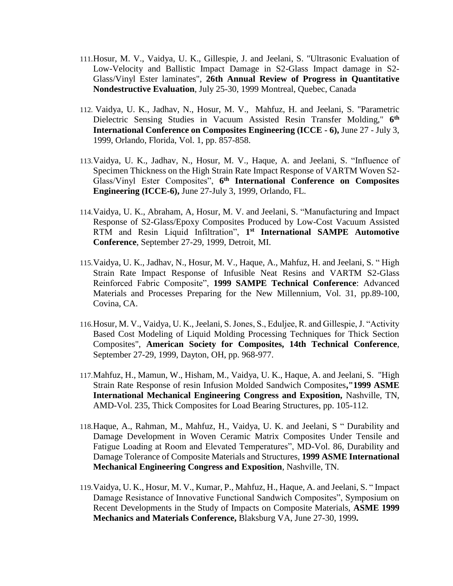- 111.Hosur, M. V., Vaidya, U. K., Gillespie, J. and Jeelani, S. "Ultrasonic Evaluation of Low-Velocity and Ballistic Impact Damage in S2-Glass Impact damage in S2- Glass/Vinyl Ester laminates", **26th Annual Review of Progress in Quantitative Nondestructive Evaluation**, July 25-30, 1999 Montreal, Quebec, Canada
- 112. Vaidya, U. K., Jadhav, N., Hosur, M. V., Mahfuz, H. and Jeelani, S. "Parametric Dielectric Sensing Studies in Vacuum Assisted Resin Transfer Molding," 6<sup>th</sup> **International Conference on Composites Engineering (ICCE - 6),** June 27 - July 3, 1999, Orlando, Florida, Vol. 1, pp. 857-858.
- 113.Vaidya, U. K., Jadhav, N., Hosur, M. V., Haque, A. and Jeelani, S. "Influence of Specimen Thickness on the High Strain Rate Impact Response of VARTM Woven S2- Glass/Vinyl Ester Composites", **6 th International Conference on Composites Engineering (ICCE-6),** June 27-July 3, 1999, Orlando, FL.
- 114.Vaidya, U. K., Abraham, A, Hosur, M. V. and Jeelani, S. "Manufacturing and Impact Response of S2-Glass/Epoxy Composites Produced by Low-Cost Vacuum Assisted RTM and Resin Liquid Infiltration", **1 st International SAMPE Automotive Conference**, September 27-29, 1999, Detroit, MI.
- 115.Vaidya, U. K., Jadhav, N., Hosur, M. V., Haque, A., Mahfuz, H. and Jeelani, S. " High Strain Rate Impact Response of Infusible Neat Resins and VARTM S2-Glass Reinforced Fabric Composite", **1999 SAMPE Technical Conference**: Advanced Materials and Processes Preparing for the New Millennium, Vol. 31, pp.89-100, Covina, CA.
- 116.Hosur, M. V., Vaidya, U. K., Jeelani, S.Jones, S., Eduljee, R. and Gillespie, J. "Activity Based Cost Modeling of Liquid Molding Processing Techniques for Thick Section Composites", **American Society for Composites, 14th Technical Conference**, September 27-29, 1999, Dayton, OH, pp. 968-977.
- 117.Mahfuz, H., Mamun, W., Hisham, M., Vaidya, U. K., Haque, A. and Jeelani, S. "High Strain Rate Response of resin Infusion Molded Sandwich Composites**,"1999 ASME International Mechanical Engineering Congress and Exposition,** Nashville, TN, AMD-Vol. 235, Thick Composites for Load Bearing Structures, pp. 105-112.
- 118.Haque, A., Rahman, M., Mahfuz, H., Vaidya, U. K. and Jeelani, S " Durability and Damage Development in Woven Ceramic Matrix Composites Under Tensile and Fatigue Loading at Room and Elevated Temperatures", MD-Vol. 86, Durability and Damage Tolerance of Composite Materials and Structures, **1999 ASME International Mechanical Engineering Congress and Exposition**, Nashville, TN.
- 119.Vaidya, U. K., Hosur, M. V., Kumar, P., Mahfuz, H., Haque, A. and Jeelani, S. " Impact Damage Resistance of Innovative Functional Sandwich Composites", Symposium on Recent Developments in the Study of Impacts on Composite Materials, **ASME 1999 Mechanics and Materials Conference,** Blaksburg VA, June 27-30, 1999**.**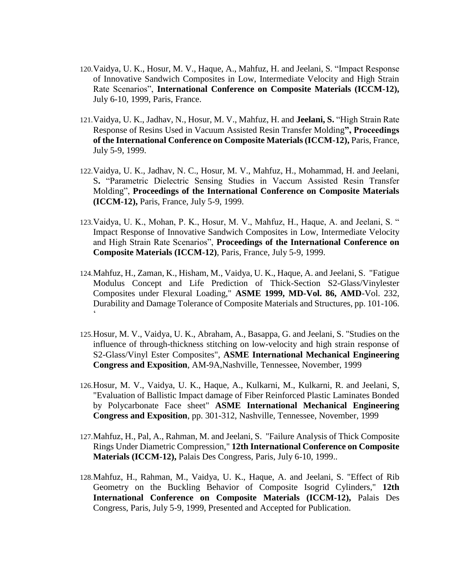- 120.Vaidya, U. K., Hosur, M. V., Haque, A., Mahfuz, H. and Jeelani, S. "Impact Response of Innovative Sandwich Composites in Low, Intermediate Velocity and High Strain Rate Scenarios", **International Conference on Composite Materials (ICCM-12),** July 6-10, 1999, Paris, France.
- 121.Vaidya, U. K., Jadhav, N., Hosur, M. V., Mahfuz, H. and **Jeelani, S.** "High Strain Rate Response of Resins Used in Vacuum Assisted Resin Transfer Molding**", Proceedings of the International Conference on Composite Materials (ICCM-12),** Paris, France, July 5-9, 1999.
- 122.Vaidya, U. K., Jadhav, N. C., Hosur, M. V., Mahfuz, H., Mohammad, H. and Jeelani, S**.** "Parametric Dielectric Sensing Studies in Vaccum Assisted Resin Transfer Molding", **Proceedings of the International Conference on Composite Materials (ICCM-12),** Paris, France, July 5-9, 1999.
- 123.Vaidya, U. K., Mohan, P. K., Hosur, M. V., Mahfuz, H., Haque, A. and Jeelani, S. " Impact Response of Innovative Sandwich Composites in Low, Intermediate Velocity and High Strain Rate Scenarios", **Proceedings of the International Conference on Composite Materials (ICCM-12)**, Paris, France, July 5-9, 1999.
- 124.Mahfuz, H., Zaman, K., Hisham, M., Vaidya, U. K., Haque, A. and Jeelani, S. "Fatigue Modulus Concept and Life Prediction of Thick-Section S2-Glass/Vinylester Composites under Flexural Loading," **ASME 1999, MD-Vol. 86, AMD**-Vol. 232, Durability and Damage Tolerance of Composite Materials and Structures, pp. 101-106.  $\ddot{\phantom{0}}$
- 125.Hosur, M. V., Vaidya, U. K., Abraham, A., Basappa, G. and Jeelani, S. "Studies on the influence of through-thickness stitching on low-velocity and high strain response of S2-Glass/Vinyl Ester Composites", **ASME International Mechanical Engineering Congress and Exposition**, AM-9A,Nashville, Tennessee, November, 1999
- 126.Hosur, M. V., Vaidya, U. K., Haque, A., Kulkarni, M., Kulkarni, R. and Jeelani, S, "Evaluation of Ballistic Impact damage of Fiber Reinforced Plastic Laminates Bonded by Polycarbonate Face sheet" **ASME International Mechanical Engineering Congress and Exposition**, pp. 301-312, Nashville, Tennessee, November, 1999
- 127.Mahfuz, H., Pal, A., Rahman, M. and Jeelani, S. "Failure Analysis of Thick Composite Rings Under Diametric Compression," **12th International Conference on Composite Materials (ICCM-12),** Palais Des Congress, Paris, July 6-10, 1999..
- 128.Mahfuz, H., Rahman, M., Vaidya, U. K., Haque, A. and Jeelani, S. "Effect of Rib Geometry on the Buckling Behavior of Composite Isogrid Cylinders," **12th International Conference on Composite Materials (ICCM-12),** Palais Des Congress, Paris, July 5-9, 1999, Presented and Accepted for Publication.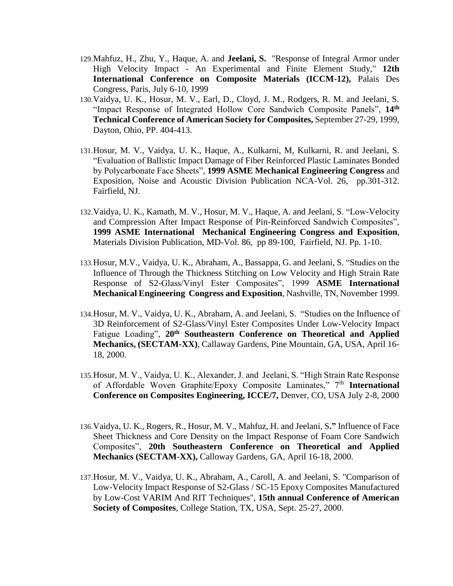- 129.Mahfuz, H., Zhu, Y., Haque, A. and **Jeelani, S.** "Response of Integral Armor under High Velocity Impact - An Experimental and Finite Element Study," **12th International Conference on Composite Materials (ICCM-12),** Palais Des Congress, Paris, July 6-10, 1999
- 130.Vaidya, U. K., Hosur, M. V., Earl, D., Cloyd, J. M., Rodgers, R. M. and Jeelani, S. "Impact Response of Integrated Hollow Core Sandwich Composite Panels", **14th Technical Conference of American Society for Composites,** September 27-29, 1999, Dayton, Ohio, PP. 404-413.
- 131.Hosur, M. V., Vaidya, U. K., Haque, A., Kulkarni, M, Kulkarni, R. and Jeelani, S. "Evaluation of Ballistic Impact Damage of Fiber Reinforced Plastic Laminates Bonded by Polycarbonate Face Sheets", **1999 ASME Mechanical Engineering Congress** and Exposition, Noise and Acoustic Division Publication NCA-Vol. 26, pp.301-312. Fairfield, NJ.
- 132.Vaidya, U. K., Kamath, M. V., Hosur, M. V., Haque, A. and Jeelani, S. "Low-Velocity and Compression After Impact Response of Pin-Reinforced Sandwich Composites", **1999 ASME International Mechanical Engineering Congress and Exposition**, Materials Division Publication, MD-Vol. 86, pp 89-100, Fairfield, NJ. Pp. 1-10.
- 133.Hosur, M.V., Vaidya, U. K., Abraham, A., Bassappa, G. and Jeelani, S. "Studies on the Influence of Through the Thickness Stitching on Low Velocity and High Strain Rate Response of S2-Glass/Vinyl Ester Composites", 1999 **ASME International Mechanical Engineering Congress and Exposition**, Nashville, TN, November 1999.
- 134.Hosur, M. V., Vaidya, U. K., Abraham, A. and Jeelani, S. "Studies on the Influence of 3D Reinforcement of S2-Glass/Vinyl Ester Composites Under Low-Velocity Impact Fatigue Loading", **20th Southeastern Conference on Theoretical and Applied Mechanics, (SECTAM-XX)**, Callaway Gardens, Pine Mountain, GA, USA, April 16- 18, 2000.
- 135.Hosur, M. V., Vaidya, U. K., Alexander, J. and Jeelani, S. "High Strain Rate Response of Affordable Woven Graphite/Epoxy Composite Laminates," 7th **International Conference on Composites Engineering, ICCE/7,** Denver, CO, USA July 2-8, 2000
- 136.Vaidya, U. K., Rogers, R., Hosur, M. V., Mahfuz, H. and Jeelani, S**."** Influence of Face Sheet Thickness and Core Density on the Impact Response of Foam Core Sandwich Composites", **20th Southeastern Conference on Theoretical and Applied Mechanics (SECTAM-XX),** Calloway Gardens, GA, April 16-18, 2000.
- 137.Hosur, M. V., Vaidya, U. K., Abraham, A., Caroll, A. and Jeelani, S. "Comparison of Low-Velocity Impact Response of S2-Glass / SC-15 Epoxy Composites Manufactured by Low-Cost VARIM And RIT Techniques", **15th annual Conference of American Society of Composites**, College Station, TX, USA, Sept. 25-27, 2000.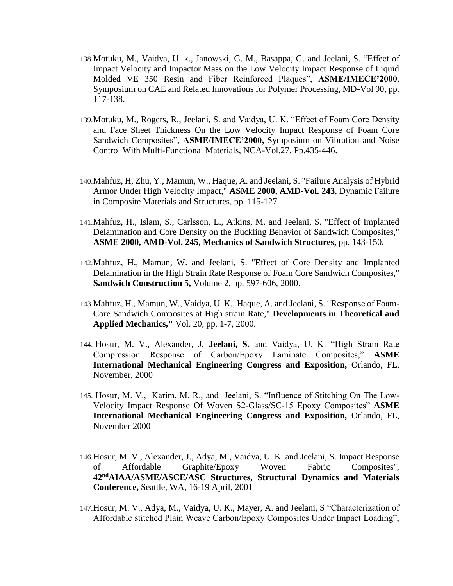- 138.Motuku, M., Vaidya, U. k., Janowski, G. M., Basappa, G. and Jeelani, S. "Effect of Impact Velocity and Impactor Mass on the Low Velocity Impact Response of Liquid Molded VE 350 Resin and Fiber Reinforced Plaques", **ASME/IMECE'2000**, Symposium on CAE and Related Innovations for Polymer Processing, MD-Vol 90, pp. 117-138.
- 139.Motuku, M., Rogers, R., Jeelani, S. and Vaidya, U. K. "Effect of Foam Core Density and Face Sheet Thickness On the Low Velocity Impact Response of Foam Core Sandwich Composites", **ASME/IMECE'2000,** Symposium on Vibration and Noise Control With Multi-Functional Materials, NCA-Vol.27. Pp.435-446.
- 140.Mahfuz, H, Zhu, Y., Mamun, W., Haque, A. and Jeelani, S. "Failure Analysis of Hybrid Armor Under High Velocity Impact," **ASME 2000, AMD-Vol. 243**, Dynamic Failure in Composite Materials and Structures, pp. 115-127.
- 141.Mahfuz, H., Islam, S., Carlsson, L., Atkins, M. and Jeelani, S. "Effect of Implanted Delamination and Core Density on the Buckling Behavior of Sandwich Composites," **ASME 2000, AMD-Vol. 245, Mechanics of Sandwich Structures,** pp. 143-150**.**
- 142.Mahfuz, H., Mamun, W. and Jeelani, S. "Effect of Core Density and Implanted Delamination in the High Strain Rate Response of Foam Core Sandwich Composites," **Sandwich Construction 5,** Volume 2, pp. 597-606, 2000.
- 143.Mahfuz, H., Mamun, W., Vaidya, U. K., Haque, A. and Jeelani, S. "Response of Foam-Core Sandwich Composites at High strain Rate," **Developments in Theoretical and Applied Mechanics,"** Vol. 20, pp. 1-7, 2000.
- 144. Hosur, M. V., Alexander, J, **Jeelani, S.** and Vaidya, U. K. "High Strain Rate Compression Response of Carbon/Epoxy Laminate Composites," **ASME International Mechanical Engineering Congress and Exposition,** Orlando, FL, November, 2000
- 145. Hosur, M. V., Karim, M. R., and Jeelani, S. "Influence of Stitching On The Low-Velocity Impact Response Of Woven S2-Glass/SC-15 Epoxy Composites" **ASME International Mechanical Engineering Congress and Exposition,** Orlando, FL, November 2000
- 146.Hosur, M. V., Alexander, J., Adya, M., Vaidya, U. K. and Jeelani, S. Impact Response of Affordable Graphite/Epoxy Woven Fabric Composites", **42ndAIAA/ASME/ASCE/ASC Structures, Structural Dynamics and Materials Conference,** Seattle, WA, 16-19 April, 2001
- 147.Hosur, M. V., Adya, M., Vaidya, U. K., Mayer, A. and Jeelani, S "Characterization of Affordable stitched Plain Weave Carbon/Epoxy Composites Under Impact Loading",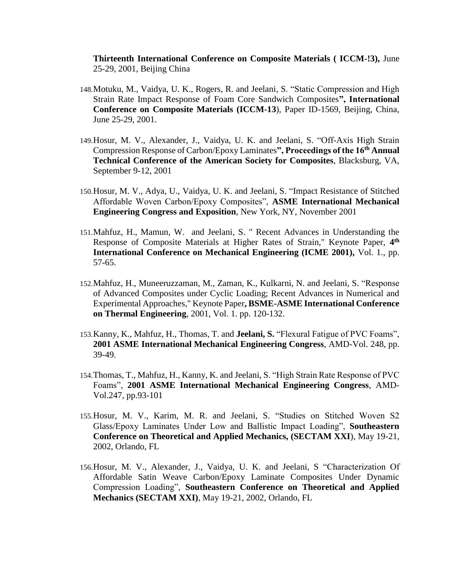**Thirteenth International Conference on Composite Materials ( ICCM-!3),** June 25-29, 2001, Beijing China

- 148.Motuku, M., Vaidya, U. K., Rogers, R. and Jeelani, S. "Static Compression and High Strain Rate Impact Response of Foam Core Sandwich Composites**", International Conference on Composite Materials (ICCM-13**), Paper ID-1569, Beijing, China, June 25-29, 2001.
- 149.Hosur, M. V., Alexander, J., Vaidya, U. K. and Jeelani, S. "Off-Axis High Strain Compression Response of Carbon/Epoxy Laminates**", Proceedings of the 16th Annual Technical Conference of the American Society for Composites**, Blacksburg, VA, September 9-12, 2001
- 150.Hosur, M. V., Adya, U., Vaidya, U. K. and Jeelani, S. "Impact Resistance of Stitched Affordable Woven Carbon/Epoxy Composites", **ASME International Mechanical Engineering Congress and Exposition**, New York, NY, November 2001
- 151.Mahfuz, H., Mamun, W. and Jeelani, S. " Recent Advances in Understanding the Response of Composite Materials at Higher Rates of Strain," Keynote Paper, **4 th International Conference on Mechanical Engineering (ICME 2001),** Vol. 1., pp. 57-65.
- 152.Mahfuz, H., Muneeruzzaman, M., Zaman, K., Kulkarni, N. and Jeelani, S. "Response of Advanced Composites under Cyclic Loading; Recent Advances in Numerical and Experimental Approaches," Keynote Paper**, BSME-ASME International Conference on Thermal Engineering**, 2001, Vol. 1. pp. 120-132.
- 153.Kanny, K., Mahfuz, H., Thomas, T. and **Jeelani, S.** "Flexural Fatigue of PVC Foams", **2001 ASME International Mechanical Engineering Congress**, AMD-Vol. 248, pp. 39-49.
- 154.Thomas, T., Mahfuz, H., Kanny, K. and Jeelani, S. "High Strain Rate Response of PVC Foams", **2001 ASME International Mechanical Engineering Congress**, AMD-Vol.247, pp.93-101
- 155.Hosur, M. V., Karim, M. R. and Jeelani, S. "Studies on Stitched Woven S2 Glass/Epoxy Laminates Under Low and Ballistic Impact Loading", **Southeastern Conference on Theoretical and Applied Mechanics, (SECTAM XXI**), May 19-21, 2002, Orlando, FL
- 156.Hosur, M. V., Alexander, J., Vaidya, U. K. and Jeelani, S "Characterization Of Affordable Satin Weave Carbon/Epoxy Laminate Composites Under Dynamic Compression Loading", **Southeastern Conference on Theoretical and Applied Mechanics (SECTAM XXI)**, May 19-21, 2002, Orlando, FL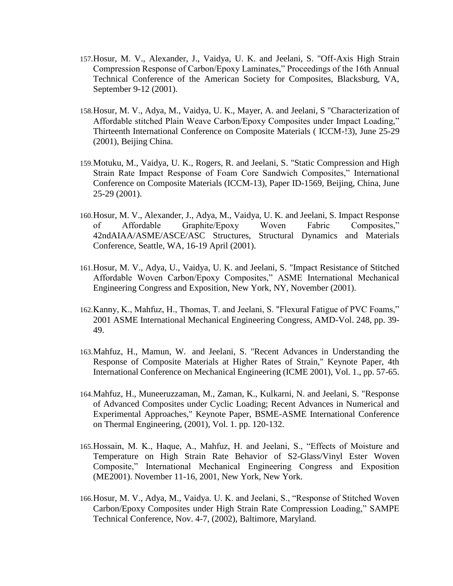- 157.Hosur, M. V., Alexander, J., Vaidya, U. K. and Jeelani, S. "Off-Axis High Strain Compression Response of Carbon/Epoxy Laminates," Proceedings of the 16th Annual Technical Conference of the American Society for Composites, Blacksburg, VA, September 9-12 (2001).
- 158.Hosur, M. V., Adya, M., Vaidya, U. K., Mayer, A. and Jeelani, S "Characterization of Affordable stitched Plain Weave Carbon/Epoxy Composites under Impact Loading," Thirteenth International Conference on Composite Materials ( ICCM-!3), June 25-29 (2001), Beijing China.
- 159.Motuku, M., Vaidya, U. K., Rogers, R. and Jeelani, S. "Static Compression and High Strain Rate Impact Response of Foam Core Sandwich Composites," International Conference on Composite Materials (ICCM-13), Paper ID-1569, Beijing, China, June 25-29 (2001).
- 160.Hosur, M. V., Alexander, J., Adya, M., Vaidya, U. K. and Jeelani, S. Impact Response of Affordable Graphite/Epoxy Woven Fabric Composites," 42ndAIAA/ASME/ASCE/ASC Structures, Structural Dynamics and Materials Conference, Seattle, WA, 16-19 April (2001).
- 161.Hosur, M. V., Adya, U., Vaidya, U. K. and Jeelani, S. "Impact Resistance of Stitched Affordable Woven Carbon/Epoxy Composites," ASME International Mechanical Engineering Congress and Exposition, New York, NY, November (2001).
- 162.Kanny, K., Mahfuz, H., Thomas, T. and Jeelani, S. "Flexural Fatigue of PVC Foams," 2001 ASME International Mechanical Engineering Congress, AMD-Vol. 248, pp. 39- 49.
- 163.Mahfuz, H., Mamun, W. and Jeelani, S. "Recent Advances in Understanding the Response of Composite Materials at Higher Rates of Strain," Keynote Paper, 4th International Conference on Mechanical Engineering (ICME 2001), Vol. 1., pp. 57-65.
- 164.Mahfuz, H., Muneeruzzaman, M., Zaman, K., Kulkarni, N. and Jeelani, S. "Response of Advanced Composites under Cyclic Loading; Recent Advances in Numerical and Experimental Approaches," Keynote Paper, BSME-ASME International Conference on Thermal Engineering, (2001), Vol. 1. pp. 120-132.
- 165.Hossain, M. K., Haque, A., Mahfuz, H. and Jeelani, S., "Effects of Moisture and Temperature on High Strain Rate Behavior of S2-Glass/Vinyl Ester Woven Composite," International Mechanical Engineering Congress and Exposition (ME2001). November 11-16, 2001, New York, New York.
- 166.Hosur, M. V., Adya, M., Vaidya. U. K. and Jeelani, S., "Response of Stitched Woven Carbon/Epoxy Composites under High Strain Rate Compression Loading," SAMPE Technical Conference, Nov. 4-7, (2002), Baltimore, Maryland.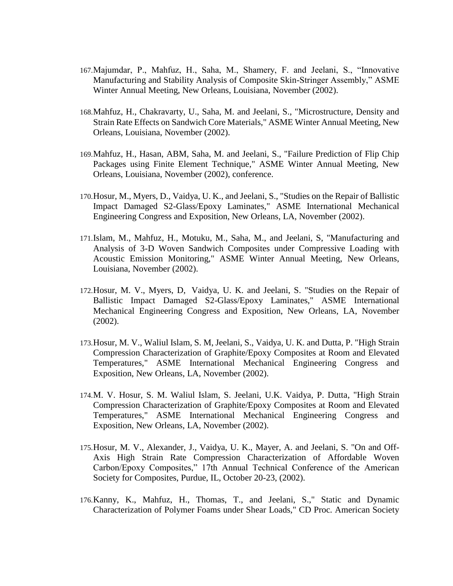- 167.Majumdar, P., Mahfuz, H., Saha, M., Shamery, F. and Jeelani, S., "Innovative Manufacturing and Stability Analysis of Composite Skin-Stringer Assembly," ASME Winter Annual Meeting, New Orleans, Louisiana, November (2002).
- 168.Mahfuz, H., Chakravarty, U., Saha, M. and Jeelani, S., "Microstructure, Density and Strain Rate Effects on Sandwich Core Materials," ASME Winter Annual Meeting, New Orleans, Louisiana, November (2002).
- 169.Mahfuz, H., Hasan, ABM, Saha, M. and Jeelani, S., "Failure Prediction of Flip Chip Packages using Finite Element Technique," ASME Winter Annual Meeting, New Orleans, Louisiana, November (2002), conference.
- 170.Hosur, M., Myers, D., Vaidya, U. K., and Jeelani, S., "Studies on the Repair of Ballistic Impact Damaged S2-Glass/Epoxy Laminates," ASME International Mechanical Engineering Congress and Exposition, New Orleans, LA, November (2002).
- 171.Islam, M., Mahfuz, H., Motuku, M., Saha, M., and Jeelani, S, "Manufacturing and Analysis of 3-D Woven Sandwich Composites under Compressive Loading with Acoustic Emission Monitoring," ASME Winter Annual Meeting, New Orleans, Louisiana, November (2002).
- 172.Hosur, M. V., Myers, D, Vaidya, U. K. and Jeelani, S. "Studies on the Repair of Ballistic Impact Damaged S2-Glass/Epoxy Laminates," ASME International Mechanical Engineering Congress and Exposition, New Orleans, LA, November (2002).
- 173.Hosur, M. V., Waliul Islam, S. M, Jeelani, S., Vaidya, U. K. and Dutta, P. "High Strain Compression Characterization of Graphite/Epoxy Composites at Room and Elevated Temperatures," ASME International Mechanical Engineering Congress and Exposition, New Orleans, LA, November (2002).
- 174.M. V. Hosur, S. M. Waliul Islam, S. Jeelani, U.K. Vaidya, P. Dutta, "High Strain Compression Characterization of Graphite/Epoxy Composites at Room and Elevated Temperatures," ASME International Mechanical Engineering Congress and Exposition, New Orleans, LA, November (2002).
- 175.Hosur, M. V., Alexander, J., Vaidya, U. K., Mayer, A. and Jeelani, S. "On and Off-Axis High Strain Rate Compression Characterization of Affordable Woven Carbon/Epoxy Composites," 17th Annual Technical Conference of the American Society for Composites, Purdue, IL, October 20-23, (2002).
- 176.Kanny, K., Mahfuz, H., Thomas, T., and Jeelani, S.," Static and Dynamic Characterization of Polymer Foams under Shear Loads," CD Proc. American Society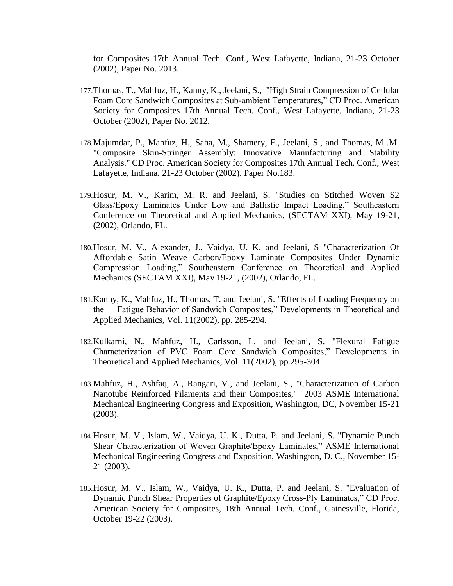for Composites 17th Annual Tech. Conf., West Lafayette, Indiana, 21-23 October (2002), Paper No. 2013.

- 177.Thomas, T., Mahfuz, H., Kanny, K., Jeelani, S., "High Strain Compression of Cellular Foam Core Sandwich Composites at Sub-ambient Temperatures," CD Proc. American Society for Composites 17th Annual Tech. Conf., West Lafayette, Indiana, 21-23 October (2002), Paper No. 2012.
- 178.Majumdar, P., Mahfuz, H., Saha, M., Shamery, F., Jeelani, S., and Thomas, M .M. "Composite Skin-Stringer Assembly: Innovative Manufacturing and Stability Analysis." CD Proc. American Society for Composites 17th Annual Tech. Conf., West Lafayette, Indiana, 21-23 October (2002), Paper No.183.
- 179.Hosur, M. V., Karim, M. R. and Jeelani, S. "Studies on Stitched Woven S2 Glass/Epoxy Laminates Under Low and Ballistic Impact Loading," Southeastern Conference on Theoretical and Applied Mechanics, (SECTAM XXI), May 19-21, (2002), Orlando, FL.
- 180.Hosur, M. V., Alexander, J., Vaidya, U. K. and Jeelani, S "Characterization Of Affordable Satin Weave Carbon/Epoxy Laminate Composites Under Dynamic Compression Loading," Southeastern Conference on Theoretical and Applied Mechanics (SECTAM XXI), May 19-21, (2002), Orlando, FL.
- 181.Kanny, K., Mahfuz, H., Thomas, T. and Jeelani, S. "Effects of Loading Frequency on the Fatigue Behavior of Sandwich Composites," Developments in Theoretical and Applied Mechanics, Vol. 11(2002), pp. 285-294.
- 182.Kulkarni, N., Mahfuz, H., Carlsson, L. and Jeelani, S. "Flexural Fatigue Characterization of PVC Foam Core Sandwich Composites," Developments in Theoretical and Applied Mechanics, Vol. 11(2002), pp.295-304.
- 183.Mahfuz, H., Ashfaq, A., Rangari, V., and Jeelani, S., "Characterization of Carbon Nanotube Reinforced Filaments and their Composites," 2003 ASME International Mechanical Engineering Congress and Exposition, Washington, DC, November 15-21 (2003).
- 184.Hosur, M. V., Islam, W., Vaidya, U. K., Dutta, P. and Jeelani, S. "Dynamic Punch Shear Characterization of Woven Graphite/Epoxy Laminates," ASME International Mechanical Engineering Congress and Exposition, Washington, D. C., November 15- 21 (2003).
- 185.Hosur, M. V., Islam, W., Vaidya, U. K., Dutta, P. and Jeelani, S. "Evaluation of Dynamic Punch Shear Properties of Graphite/Epoxy Cross-Ply Laminates," CD Proc. American Society for Composites, 18th Annual Tech. Conf., Gainesville, Florida, October 19-22 (2003).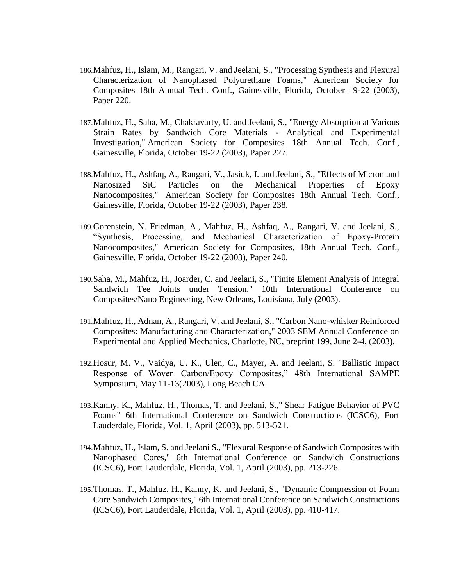- 186.Mahfuz, H., Islam, M., Rangari, V. and Jeelani, S., "Processing Synthesis and Flexural Characterization of Nanophased Polyurethane Foams," American Society for Composites 18th Annual Tech. Conf., Gainesville, Florida, October 19-22 (2003), Paper 220.
- 187.Mahfuz, H., Saha, M., Chakravarty, U. and Jeelani, S., "Energy Absorption at Various Strain Rates by Sandwich Core Materials - Analytical and Experimental Investigation," American Society for Composites 18th Annual Tech. Conf., Gainesville, Florida, October 19-22 (2003), Paper 227.
- 188.Mahfuz, H., Ashfaq, A., Rangari, V., Jasiuk, I. and Jeelani, S., "Effects of Micron and Nanosized SiC Particles on the Mechanical Properties of Epoxy Nanocomposites," American Society for Composites 18th Annual Tech. Conf., Gainesville, Florida, October 19-22 (2003), Paper 238.
- 189.Gorenstein, N. Friedman, A., Mahfuz, H., Ashfaq, A., Rangari, V. and Jeelani, S., "Synthesis, Processing, and Mechanical Characterization of Epoxy-Protein Nanocomposites," American Society for Composites, 18th Annual Tech. Conf., Gainesville, Florida, October 19-22 (2003), Paper 240.
- 190.Saha, M., Mahfuz, H., Joarder, C. and Jeelani, S., "Finite Element Analysis of Integral Sandwich Tee Joints under Tension," 10th International Conference on Composites/Nano Engineering, New Orleans, Louisiana, July (2003).
- 191.Mahfuz, H., Adnan, A., Rangari, V. and Jeelani, S., "Carbon Nano-whisker Reinforced Composites: Manufacturing and Characterization," 2003 SEM Annual Conference on Experimental and Applied Mechanics, Charlotte, NC, preprint 199, June 2-4, (2003).
- 192.Hosur, M. V., Vaidya, U. K., Ulen, C., Mayer, A. and Jeelani, S. "Ballistic Impact Response of Woven Carbon/Epoxy Composites," 48th International SAMPE Symposium, May 11-13(2003), Long Beach CA.
- 193.Kanny, K., Mahfuz, H., Thomas, T. and Jeelani, S.," Shear Fatigue Behavior of PVC Foams" 6th International Conference on Sandwich Constructions (ICSC6), Fort Lauderdale, Florida, Vol. 1, April (2003), pp. 513-521.
- 194.Mahfuz, H., Islam, S. and Jeelani S., "Flexural Response of Sandwich Composites with Nanophased Cores," 6th International Conference on Sandwich Constructions (ICSC6), Fort Lauderdale, Florida, Vol. 1, April (2003), pp. 213-226.
- 195.Thomas, T., Mahfuz, H., Kanny, K. and Jeelani, S., "Dynamic Compression of Foam Core Sandwich Composites," 6th International Conference on Sandwich Constructions (ICSC6), Fort Lauderdale, Florida, Vol. 1, April (2003), pp. 410-417.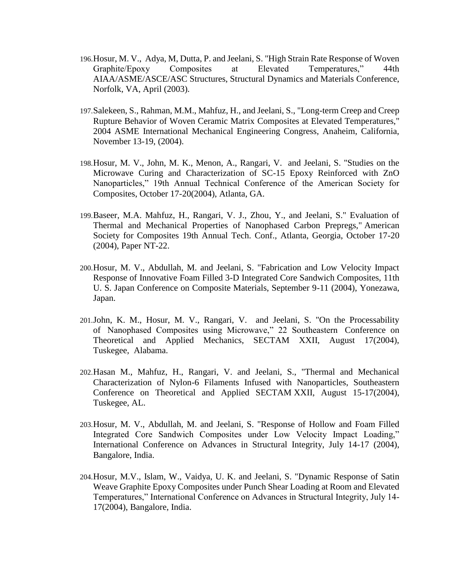- 196.Hosur, M. V., Adya, M, Dutta, P. and Jeelani, S. "High Strain Rate Response of Woven Graphite/Epoxy Composites at Elevated Temperatures," 44th AIAA/ASME/ASCE/ASC Structures, Structural Dynamics and Materials Conference, Norfolk, VA, April (2003).
- 197.Salekeen, S., Rahman, M.M., Mahfuz, H., and Jeelani, S., "Long-term Creep and Creep Rupture Behavior of Woven Ceramic Matrix Composites at Elevated Temperatures," 2004 ASME International Mechanical Engineering Congress, Anaheim, California, November 13-19, (2004).
- 198.Hosur, M. V., John, M. K., Menon, A., Rangari, V. and Jeelani, S. "Studies on the Microwave Curing and Characterization of SC-15 Epoxy Reinforced with ZnO Nanoparticles," 19th Annual Technical Conference of the American Society for Composites, October 17-20(2004), Atlanta, GA.
- 199.Baseer, M.A. Mahfuz, H., Rangari, V. J., Zhou, Y., and Jeelani, S." Evaluation of Thermal and Mechanical Properties of Nanophased Carbon Prepregs," American Society for Composites 19th Annual Tech. Conf., Atlanta, Georgia, October 17-20 (2004), Paper NT-22.
- 200.Hosur, M. V., Abdullah, M. and Jeelani, S. "Fabrication and Low Velocity Impact Response of Innovative Foam Filled 3-D Integrated Core Sandwich Composites, 11th U. S. Japan Conference on Composite Materials, September 9-11 (2004), Yonezawa, Japan.
- 201.John, K. M., Hosur, M. V., Rangari, V. and Jeelani, S. "On the Processability of Nanophased Composites using Microwave," 22 Southeastern Conference on Theoretical and Applied Mechanics, SECTAM XXII, August 17(2004), Tuskegee, Alabama.
- 202.Hasan M., Mahfuz, H., Rangari, V. and Jeelani, S., "Thermal and Mechanical Characterization of Nylon-6 Filaments Infused with Nanoparticles, Southeastern Conference on Theoretical and Applied SECTAM XXII, August 15-17(2004), Tuskegee, AL.
- 203.Hosur, M. V., Abdullah, M. and Jeelani, S. "Response of Hollow and Foam Filled Integrated Core Sandwich Composites under Low Velocity Impact Loading," International Conference on Advances in Structural Integrity, July 14-17 (2004), Bangalore, India.
- 204.Hosur, M.V., Islam, W., Vaidya, U. K. and Jeelani, S. "Dynamic Response of Satin Weave Graphite Epoxy Composites under Punch Shear Loading at Room and Elevated Temperatures," International Conference on Advances in Structural Integrity, July 14- 17(2004), Bangalore, India.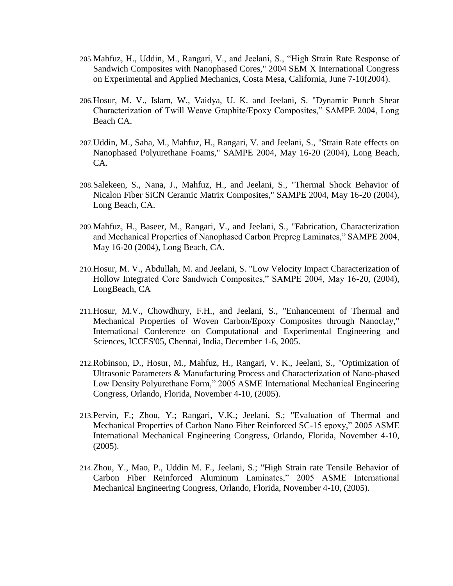- 205.Mahfuz, H., Uddin, M., Rangari, V., and Jeelani, S., "High Strain Rate Response of Sandwich Composites with Nanophased Cores," 2004 SEM X International Congress on Experimental and Applied Mechanics, Costa Mesa, California, June 7-10(2004).
- 206.Hosur, M. V., Islam, W., Vaidya, U. K. and Jeelani, S. "Dynamic Punch Shear Characterization of Twill Weave Graphite/Epoxy Composites," SAMPE 2004, Long Beach CA.
- 207.Uddin, M., Saha, M., Mahfuz, H., Rangari, V. and Jeelani, S., "Strain Rate effects on Nanophased Polyurethane Foams," SAMPE 2004, May 16-20 (2004), Long Beach, CA.
- 208.Salekeen, S., Nana, J., Mahfuz, H., and Jeelani, S., "Thermal Shock Behavior of Nicalon Fiber SiCN Ceramic Matrix Composites," SAMPE 2004, May 16-20 (2004), Long Beach, CA.
- 209.Mahfuz, H., Baseer, M., Rangari, V., and Jeelani, S., "Fabrication, Characterization and Mechanical Properties of Nanophased Carbon Prepreg Laminates," SAMPE 2004, May 16-20 (2004), Long Beach, CA.
- 210.Hosur, M. V., Abdullah, M. and Jeelani, S. "Low Velocity Impact Characterization of Hollow Integrated Core Sandwich Composites," SAMPE 2004, May 16-20, (2004), LongBeach, CA
- 211.Hosur, M.V., Chowdhury, F.H., and Jeelani, S., "Enhancement of Thermal and Mechanical Properties of Woven Carbon/Epoxy Composites through Nanoclay," International Conference on Computational and Experimental Engineering and Sciences, ICCES'05, Chennai, India, December 1-6, 2005.
- 212.Robinson, D., Hosur, M., Mahfuz, H., Rangari, V. K., Jeelani, S., "Optimization of Ultrasonic Parameters & Manufacturing Process and Characterization of Nano-phased Low Density Polyurethane Form," 2005 ASME International Mechanical Engineering Congress, Orlando, Florida, November 4-10, (2005).
- 213.Pervin, F.; Zhou, Y.; Rangari, V.K.; Jeelani, S.; "Evaluation of Thermal and Mechanical Properties of Carbon Nano Fiber Reinforced SC-15 epoxy," 2005 ASME International Mechanical Engineering Congress, Orlando, Florida, November 4-10, (2005).
- 214.Zhou, Y., Mao, P., Uddin M. F., Jeelani, S.; "High Strain rate Tensile Behavior of Carbon Fiber Reinforced Aluminum Laminates," 2005 ASME International Mechanical Engineering Congress, Orlando, Florida, November 4-10, (2005).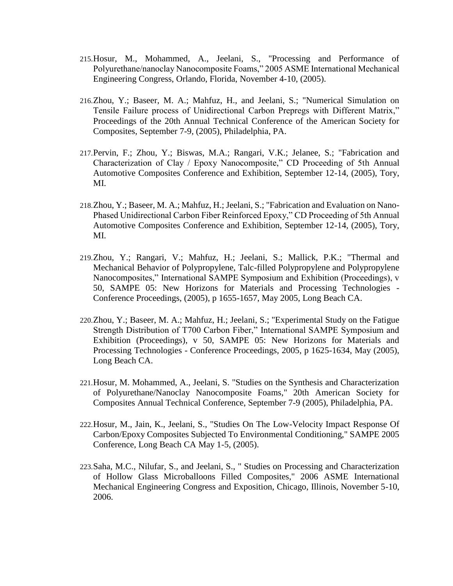- 215.Hosur, M., Mohammed, A., Jeelani, S., "Processing and Performance of Polyurethane/nanoclay Nanocomposite Foams," 2005 ASME International Mechanical Engineering Congress, Orlando, Florida, November 4-10, (2005).
- 216.Zhou, Y.; Baseer, M. A.; Mahfuz, H., and Jeelani, S.; "Numerical Simulation on Tensile Failure process of Unidirectional Carbon Prepregs with Different Matrix," Proceedings of the 20th Annual Technical Conference of the American Society for Composites, September 7-9, (2005), Philadelphia, PA.
- 217.Pervin, F.; Zhou, Y.; Biswas, M.A.; Rangari, V.K.; Jelanee, S.; "Fabrication and Characterization of Clay / Epoxy Nanocomposite," CD Proceeding of 5th Annual Automotive Composites Conference and Exhibition, September 12-14, (2005), Tory, MI.
- 218.Zhou, Y.; Baseer, M. A.; Mahfuz, H.; Jeelani, S.; "Fabrication and Evaluation on Nano-Phased Unidirectional Carbon Fiber Reinforced Epoxy," CD Proceeding of 5th Annual Automotive Composites Conference and Exhibition, September 12-14, (2005), Tory, MI.
- 219.Zhou, Y.; Rangari, V.; Mahfuz, H.; Jeelani, S.; Mallick, P.K.; "Thermal and Mechanical Behavior of Polypropylene, Talc-filled Polypropylene and Polypropylene Nanocomposites," International SAMPE Symposium and Exhibition (Proceedings), v 50, SAMPE 05: New Horizons for Materials and Processing Technologies - Conference Proceedings, (2005), p 1655-1657, May 2005, Long Beach CA.
- 220.Zhou, Y.; Baseer, M. A.; Mahfuz, H.; Jeelani, S.; "Experimental Study on the Fatigue Strength Distribution of T700 Carbon Fiber," International SAMPE Symposium and Exhibition (Proceedings), v 50, SAMPE 05: New Horizons for Materials and Processing Technologies - Conference Proceedings, 2005, p 1625-1634, May (2005), Long Beach CA.
- 221.Hosur, M. Mohammed, A., Jeelani, S. "Studies on the Synthesis and Characterization of Polyurethane/Nanoclay Nanocomposite Foams," 20th American Society for Composites Annual Technical Conference, September 7-9 (2005), Philadelphia, PA.
- 222.Hosur, M., Jain, K., Jeelani, S., "Studies On The Low-Velocity Impact Response Of Carbon/Epoxy Composites Subjected To Environmental Conditioning," SAMPE 2005 Conference, Long Beach CA May 1-5, (2005).
- 223.Saha, M.C., Nilufar, S., and Jeelani, S., " Studies on Processing and Characterization of Hollow Glass Microballoons Filled Composites," 2006 ASME International Mechanical Engineering Congress and Exposition, Chicago, Illinois, November 5-10, 2006.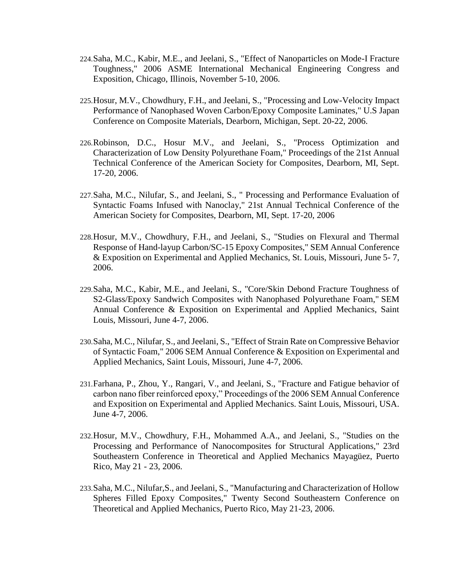- 224.Saha, M.C., Kabir, M.E., and Jeelani, S., "Effect of Nanoparticles on Mode-I Fracture Toughness," 2006 ASME International Mechanical Engineering Congress and Exposition, Chicago, Illinois, November 5-10, 2006.
- 225.Hosur, M.V., Chowdhury, F.H., and Jeelani, S., "Processing and Low-Velocity Impact Performance of Nanophased Woven Carbon/Epoxy Composite Laminates," U.S Japan Conference on Composite Materials, Dearborn, Michigan, Sept. 20-22, 2006.
- 226.Robinson, D.C., Hosur M.V., and Jeelani, S., "Process Optimization and Characterization of Low Density Polyurethane Foam," Proceedings of the 21st Annual Technical Conference of the American Society for Composites, Dearborn, MI, Sept. 17-20, 2006.
- 227.Saha, M.C., Nilufar, S., and Jeelani, S., " Processing and Performance Evaluation of Syntactic Foams Infused with Nanoclay," 21st Annual Technical Conference of the American Society for Composites, Dearborn, MI, Sept. 17-20, 2006
- 228.Hosur, M.V., Chowdhury, F.H., and Jeelani, S., "Studies on Flexural and Thermal Response of Hand-layup Carbon/SC-15 Epoxy Composites," SEM Annual Conference & Exposition on Experimental and Applied Mechanics, St. Louis, Missouri, June 5- 7, 2006.
- 229.Saha, M.C., Kabir, M.E., and Jeelani, S., "Core/Skin Debond Fracture Toughness of S2-Glass/Epoxy Sandwich Composites with Nanophased Polyurethane Foam," SEM Annual Conference & Exposition on Experimental and Applied Mechanics, Saint Louis, Missouri, June 4-7, 2006.
- 230.Saha, M.C., Nilufar, S., and Jeelani, S., "Effect of Strain Rate on Compressive Behavior of Syntactic Foam," 2006 SEM Annual Conference & Exposition on Experimental and Applied Mechanics, Saint Louis, Missouri, June 4-7, 2006.
- 231.Farhana, P., Zhou, Y., Rangari, V., and Jeelani, S., "Fracture and Fatigue behavior of carbon nano fiber reinforced epoxy," Proceedings of the 2006 SEM Annual Conference and Exposition on Experimental and Applied Mechanics. Saint Louis, Missouri, USA. June 4-7, 2006.
- 232.Hosur, M.V., Chowdhury, F.H., Mohammed A.A., and Jeelani, S., "Studies on the Processing and Performance of Nanocomposites for Structural Applications," 23rd Southeastern Conference in Theoretical and Applied Mechanics Mayagüez, Puerto Rico, May 21 - 23, 2006.
- 233.Saha, M.C., Nilufar,S., and Jeelani, S., "Manufacturing and Characterization of Hollow Spheres Filled Epoxy Composites," Twenty Second Southeastern Conference on Theoretical and Applied Mechanics, Puerto Rico, May 21-23, 2006.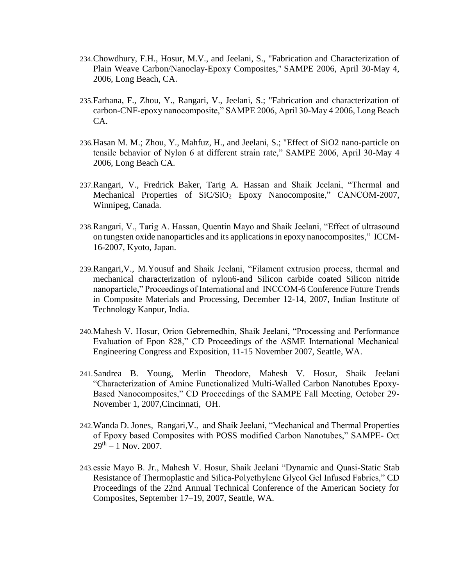- 234.Chowdhury, F.H., Hosur, M.V., and Jeelani, S., "Fabrication and Characterization of Plain Weave Carbon/Nanoclay-Epoxy Composites," SAMPE 2006, April 30-May 4, 2006, Long Beach, CA.
- 235.Farhana, F., Zhou, Y., Rangari, V., Jeelani, S.; "Fabrication and characterization of carbon-CNF-epoxy nanocomposite," SAMPE 2006, April 30-May 4 2006, Long Beach CA.
- 236.Hasan M. M.; Zhou, Y., Mahfuz, H., and Jeelani, S.; "Effect of SiO2 nano-particle on tensile behavior of Nylon 6 at different strain rate," SAMPE 2006, April 30-May 4 2006, Long Beach CA.
- 237.Rangari, V., Fredrick Baker, Tarig A. Hassan and Shaik Jeelani, "Thermal and Mechanical Properties of SiC/SiO<sub>2</sub> Epoxy Nanocomposite," CANCOM-2007, Winnipeg, Canada.
- 238.Rangari, V., Tarig A. Hassan, Quentin Mayo and Shaik Jeelani, "Effect of ultrasound on tungsten oxide nanoparticles and its applications in epoxy nanocomposites," ICCM-16-2007, Kyoto, Japan.
- 239.Rangari,V., M.Yousuf and Shaik Jeelani, "Filament extrusion process, thermal and mechanical characterization of nylon6-and Silicon carbide coated Silicon nitride nanoparticle," Proceedings of International and INCCOM-6 Conference Future Trends in Composite Materials and Processing, December 12-14, 2007, Indian Institute of Technology Kanpur, India.
- 240.Mahesh V. Hosur, Orion Gebremedhin, Shaik Jeelani, "Processing and Performance Evaluation of Epon 828," CD Proceedings of the ASME International Mechanical Engineering Congress and Exposition, 11-15 November 2007, Seattle, WA.
- 241.Sandrea B. Young, Merlin Theodore, Mahesh V. Hosur, Shaik Jeelani "Characterization of Amine Functionalized Multi-Walled Carbon Nanotubes Epoxy-Based Nanocomposites," CD Proceedings of the SAMPE Fall Meeting, October 29- November 1, 2007,Cincinnati, OH.
- 242.Wanda D. Jones, Rangari,V., and Shaik Jeelani, "Mechanical and Thermal Properties of Epoxy based Composites with POSS modified Carbon Nanotubes," SAMPE- Oct  $29<sup>th</sup> - 1$  Nov. 2007.
- 243.essie Mayo B. Jr., Mahesh V. Hosur, Shaik Jeelani "Dynamic and Quasi-Static Stab Resistance of Thermoplastic and Silica-Polyethylene Glycol Gel Infused Fabrics," CD Proceedings of the 22nd Annual Technical Conference of the American Society for Composites, September 17–19, 2007, Seattle, WA.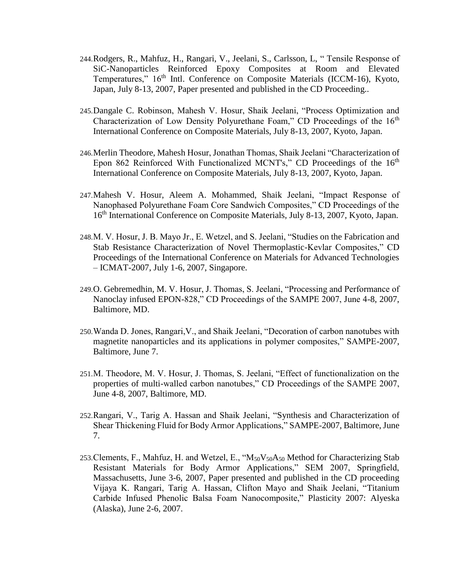- 244.Rodgers, R., Mahfuz, H., Rangari, V., Jeelani, S., Carlsson, L, " Tensile Response of SiC-Nanoparticles Reinforced Epoxy Composites at Room and Elevated Temperatures," 16th Intl. Conference on Composite Materials (ICCM-16), Kyoto, Japan, July 8-13, 2007, Paper presented and published in the CD Proceeding..
- 245.Dangale C. Robinson, Mahesh V. Hosur, Shaik Jeelani, "Process Optimization and Characterization of Low Density Polyurethane Foam," CD Proceedings of the 16<sup>th</sup> International Conference on Composite Materials, July 8-13, 2007, Kyoto, Japan.
- 246.Merlin Theodore, Mahesh Hosur, Jonathan Thomas, Shaik Jeelani "Characterization of Epon 862 Reinforced With Functionalized MCNT's," CD Proceedings of the  $16<sup>th</sup>$ International Conference on Composite Materials, July 8-13, 2007, Kyoto, Japan.
- 247.Mahesh V. Hosur, Aleem A. Mohammed, Shaik Jeelani, "Impact Response of Nanophased Polyurethane Foam Core Sandwich Composites," CD Proceedings of the 16<sup>th</sup> International Conference on Composite Materials, July 8-13, 2007, Kyoto, Japan.
- 248.M. V. Hosur, J. B. Mayo Jr., E. Wetzel, and S. Jeelani, "Studies on the Fabrication and Stab Resistance Characterization of Novel Thermoplastic-Kevlar Composites," CD Proceedings of the International Conference on Materials for Advanced Technologies – ICMAT-2007, July 1-6, 2007, Singapore.
- 249.O. Gebremedhin, M. V. Hosur, J. Thomas, S. Jeelani, "Processing and Performance of Nanoclay infused EPON-828," CD Proceedings of the SAMPE 2007, June 4-8, 2007, Baltimore, MD.
- 250.Wanda D. Jones, Rangari,V., and Shaik Jeelani, "Decoration of carbon nanotubes with magnetite nanoparticles and its applications in polymer composites," SAMPE-2007, Baltimore, June 7.
- 251.M. Theodore, M. V. Hosur, J. Thomas, S. Jeelani, "Effect of functionalization on the properties of multi-walled carbon nanotubes," CD Proceedings of the SAMPE 2007, June 4-8, 2007, Baltimore, MD.
- 252.Rangari, V., Tarig A. Hassan and Shaik Jeelani, "Synthesis and Characterization of Shear Thickening Fluid for Body Armor Applications," SAMPE-2007, Baltimore, June 7.
- 253. Clements, F., Mahfuz, H. and Wetzel, E., " $M_{50}V_{50}A_{50}$  Method for Characterizing Stab Resistant Materials for Body Armor Applications," SEM 2007, Springfield, Massachusetts, June 3-6, 2007, Paper presented and published in the CD proceeding Vijaya K. Rangari, Tarig A. Hassan, Clifton Mayo and Shaik Jeelani, "Titanium Carbide Infused Phenolic Balsa Foam Nanocomposite," Plasticity 2007: Alyeska (Alaska), June 2-6, 2007.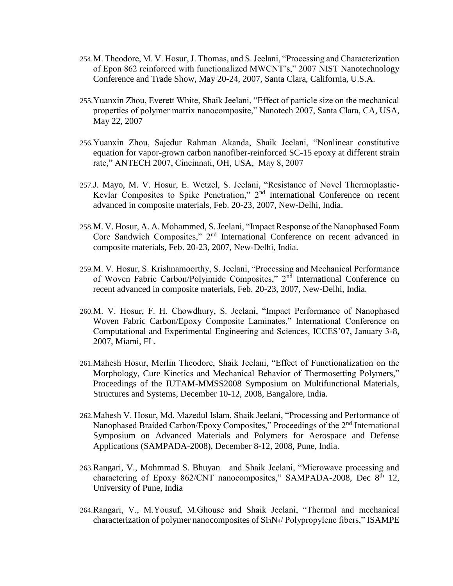- 254.M. Theodore, M. V. Hosur, J. Thomas, and S. Jeelani, "Processing and Characterization of Epon 862 reinforced with functionalized MWCNT's," 2007 NIST Nanotechnology Conference and Trade Show, May 20-24, 2007, Santa Clara, California, U.S.A.
- 255.Yuanxin Zhou, Everett White, Shaik Jeelani, "Effect of particle size on the mechanical properties of polymer matrix nanocomposite," Nanotech 2007, Santa Clara, CA, USA, May 22, 2007
- 256.Yuanxin Zhou, Sajedur Rahman Akanda, Shaik Jeelani, "Nonlinear constitutive equation for vapor-grown carbon nanofiber-reinforced SC-15 epoxy at different strain rate," ANTECH 2007, Cincinnati, OH, USA, May 8, 2007
- 257.J. Mayo, M. V. Hosur, E. Wetzel, S. Jeelani, "Resistance of Novel Thermoplastic-Kevlar Composites to Spike Penetration," 2nd International Conference on recent advanced in composite materials, Feb. 20-23, 2007, New-Delhi, India.
- 258.M. V. Hosur, A. A. Mohammed, S. Jeelani, "Impact Response of the Nanophased Foam Core Sandwich Composites," 2<sup>nd</sup> International Conference on recent advanced in composite materials, Feb. 20-23, 2007, New-Delhi, India.
- 259.M. V. Hosur, S. Krishnamoorthy, S. Jeelani, "Processing and Mechanical Performance of Woven Fabric Carbon/Polyimide Composites," 2<sup>nd</sup> International Conference on recent advanced in composite materials, Feb. 20-23, 2007, New-Delhi, India.
- 260.M. V. Hosur, F. H. Chowdhury, S. Jeelani, "Impact Performance of Nanophased Woven Fabric Carbon/Epoxy Composite Laminates," International Conference on Computational and Experimental Engineering and Sciences, ICCES'07, January 3-8, 2007, Miami, FL.
- 261.Mahesh Hosur, Merlin Theodore, Shaik Jeelani, "Effect of Functionalization on the Morphology, Cure Kinetics and Mechanical Behavior of Thermosetting Polymers," Proceedings of the IUTAM-MMSS2008 Symposium on Multifunctional Materials, Structures and Systems, December 10-12, 2008, Bangalore, India.
- 262.Mahesh V. Hosur, Md. Mazedul Islam, Shaik Jeelani, "Processing and Performance of Nanophased Braided Carbon/Epoxy Composites," Proceedings of the 2<sup>nd</sup> International Symposium on Advanced Materials and Polymers for Aerospace and Defense Applications (SAMPADA-2008), December 8-12, 2008, Pune, India.
- 263.Rangari, V., Mohmmad S. Bhuyan and Shaik Jeelani, "Microwave processing and charactering of Epoxy 862/CNT nanocomposites," SAMPADA-2008, Dec 8<sup>th</sup> 12, University of Pune, India
- 264.Rangari, V., M.Yousuf, M.Ghouse and Shaik Jeelani, "Thermal and mechanical characterization of polymer nanocomposites of  $Si<sub>3</sub>N<sub>4</sub>/$  Polypropylene fibers," ISAMPE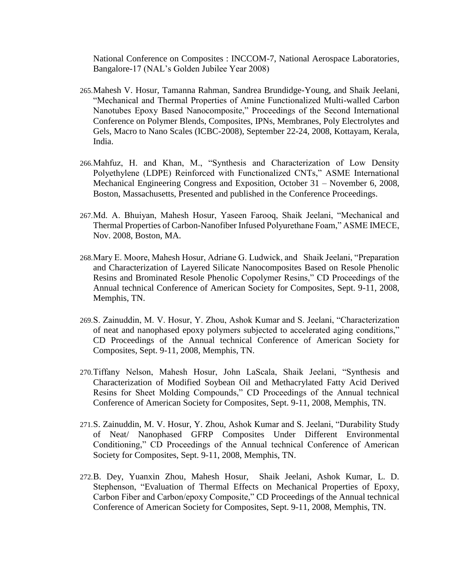National Conference on Composites : INCCOM-7, National Aerospace Laboratories, Bangalore-17 (NAL's Golden Jubilee Year 2008)

- 265.Mahesh V. Hosur, Tamanna Rahman, Sandrea Brundidge-Young, and Shaik Jeelani, "Mechanical and Thermal Properties of Amine Functionalized Multi-walled Carbon Nanotubes Epoxy Based Nanocomposite," Proceedings of the Second International Conference on Polymer Blends, Composites, IPNs, Membranes, Poly Electrolytes and Gels, Macro to Nano Scales (ICBC-2008), September 22-24, 2008, Kottayam, Kerala, India.
- 266.Mahfuz, H. and Khan, M., "Synthesis and Characterization of Low Density Polyethylene (LDPE) Reinforced with Functionalized CNTs," ASME International Mechanical Engineering Congress and Exposition, October 31 – November 6, 2008, Boston, Massachusetts, Presented and published in the Conference Proceedings.
- 267.Md. A. Bhuiyan, Mahesh Hosur, Yaseen Farooq, Shaik Jeelani, "Mechanical and Thermal Properties of Carbon-Nanofiber Infused Polyurethane Foam," ASME IMECE, Nov. 2008, Boston, MA.
- 268.Mary E. Moore, Mahesh Hosur, Adriane G. Ludwick, and Shaik Jeelani, "Preparation and Characterization of Layered Silicate Nanocomposites Based on Resole Phenolic Resins and Brominated Resole Phenolic Copolymer Resins," CD Proceedings of the Annual technical Conference of American Society for Composites, Sept. 9-11, 2008, Memphis, TN.
- 269.S. Zainuddin, M. V. Hosur, Y. Zhou, Ashok Kumar and S. Jeelani, "Characterization of neat and nanophased epoxy polymers subjected to accelerated aging conditions," CD Proceedings of the Annual technical Conference of American Society for Composites, Sept. 9-11, 2008, Memphis, TN.
- 270.Tiffany Nelson, Mahesh Hosur, John LaScala, Shaik Jeelani, "Synthesis and Characterization of Modified Soybean Oil and Methacrylated Fatty Acid Derived Resins for Sheet Molding Compounds," CD Proceedings of the Annual technical Conference of American Society for Composites, Sept. 9-11, 2008, Memphis, TN.
- 271.S. Zainuddin, M. V. Hosur, Y. Zhou, Ashok Kumar and S. Jeelani, "Durability Study of Neat/ Nanophased GFRP Composites Under Different Environmental Conditioning," CD Proceedings of the Annual technical Conference of American Society for Composites, Sept. 9-11, 2008, Memphis, TN.
- 272.B. Dey, Yuanxin Zhou, Mahesh Hosur, Shaik Jeelani, Ashok Kumar, L. D. Stephenson, "Evaluation of Thermal Effects on Mechanical Properties of Epoxy, Carbon Fiber and Carbon/epoxy Composite," CD Proceedings of the Annual technical Conference of American Society for Composites, Sept. 9-11, 2008, Memphis, TN.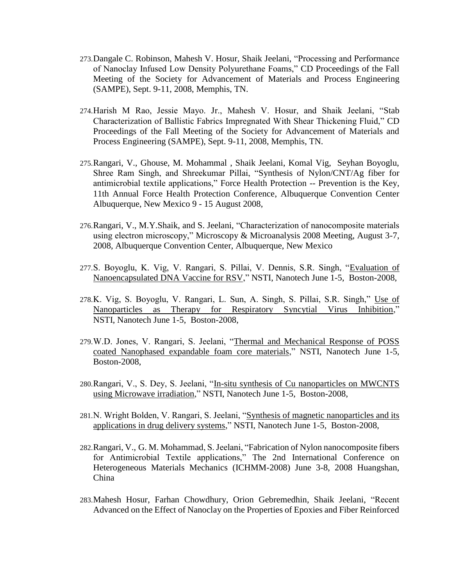- 273.Dangale C. Robinson, Mahesh V. Hosur, Shaik Jeelani, "Processing and Performance of Nanoclay Infused Low Density Polyurethane Foams," CD Proceedings of the Fall Meeting of the Society for Advancement of Materials and Process Engineering (SAMPE), Sept. 9-11, 2008, Memphis, TN.
- 274.Harish M Rao, Jessie Mayo. Jr., Mahesh V. Hosur, and Shaik Jeelani, "Stab Characterization of Ballistic Fabrics Impregnated With Shear Thickening Fluid," CD Proceedings of the Fall Meeting of the Society for Advancement of Materials and Process Engineering (SAMPE), Sept. 9-11, 2008, Memphis, TN.
- 275.Rangari, V., Ghouse, M. Mohammal , Shaik Jeelani, Komal Vig, Seyhan Boyoglu, Shree Ram Singh, and Shreekumar Pillai, "Synthesis of Nylon/CNT/Ag fiber for antimicrobial textile applications," Force Health Protection -- Prevention is the Key, 11th Annual Force Health Protection Conference, Albuquerque Convention Center Albuquerque, New Mexico 9 - 15 August 2008,
- 276.Rangari, V., M.Y.Shaik, and S. Jeelani, "Characterization of nanocomposite materials using electron microscopy," Microscopy & Microanalysis 2008 Meeting, August 3-7, 2008, Albuquerque Convention Center, Albuquerque, New Mexico
- 277.S. Boyoglu, K. Vig, V. Rangari, S. Pillai, V. Dennis, S.R. Singh, ["Evaluation of](http://www.nsti.org/Nanotech2008/showabstract.html?absno=1431)  [Nanoencapsulated DNA Vaccine for RSV,](http://www.nsti.org/Nanotech2008/showabstract.html?absno=1431)" NSTI, Nanotech June 1-5, Boston-2008,
- 278.K. Vig, S. Boyoglu, V. Rangari, L. Sun, A. Singh, S. Pillai, S.R. Singh," [Use of](http://www.nsti.org/Nanotech2008/showabstract.html?absno=1412)  [Nanoparticles as Therapy for Respiratory Syncytial Virus Inhibition,](http://www.nsti.org/Nanotech2008/showabstract.html?absno=1412)" NSTI, Nanotech June 1-5, Boston-2008,
- 279.W.D. Jones, V. Rangari, S. Jeelani, ["Thermal and Mechanical Response of POSS](http://www.nsti.org/Nanotech2008/showabstract.html?absno=837)  [coated Nanophased expandable foam core materials,](http://www.nsti.org/Nanotech2008/showabstract.html?absno=837)" NSTI, Nanotech June 1-5, Boston-2008,
- 280.Rangari, V., S. Dey, S. Jeelani, ["In-situ synthesis of Cu nanoparticles on MWCNTS](http://www.nsti.org/Nanotech2008/showabstract.html?absno=185)  [using Microwave irradiation,](http://www.nsti.org/Nanotech2008/showabstract.html?absno=185)" NSTI, Nanotech June 1-5, Boston-2008,
- 281.N. Wright Bolden, V. Rangari, S. Jeelani, ["Synthesis of magnetic nanoparticles and its](http://www.nsti.org/Nanotech2008/showabstract.html?absno=677)  [applications in drug delivery systems,](http://www.nsti.org/Nanotech2008/showabstract.html?absno=677)" NSTI, Nanotech June 1-5, Boston-2008,
- 282.Rangari, V., G. M. Mohammad, S. Jeelani, "Fabrication of Nylon nanocomposite fibers for Antimicrobial Textile applications," The 2nd International Conference on Heterogeneous Materials Mechanics (ICHMM-2008) June 3-8, 2008 Huangshan, China
- 283.Mahesh Hosur, Farhan Chowdhury, Orion Gebremedhin, Shaik Jeelani, "Recent Advanced on the Effect of Nanoclay on the Properties of Epoxies and Fiber Reinforced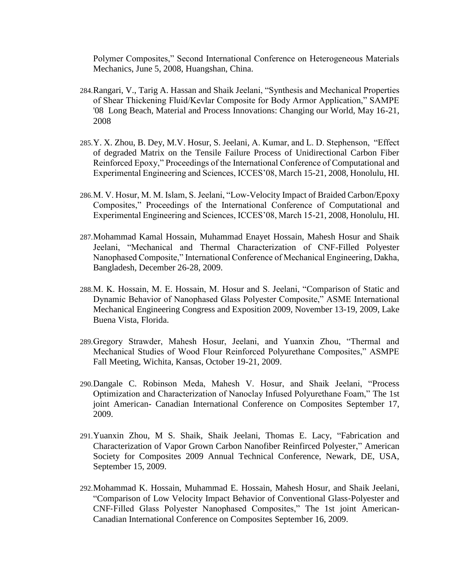Polymer Composites," Second International Conference on Heterogeneous Materials Mechanics, June 5, 2008, Huangshan, China.

- 284.Rangari, V., Tarig A. Hassan and Shaik Jeelani, "Synthesis and Mechanical Properties of Shear Thickening Fluid/Kevlar Composite for Body Armor Application," SAMPE '08 Long Beach, Material and Process Innovations: Changing our World, May 16-21, 2008
- 285.Y. X. Zhou, B. Dey, M.V. Hosur, S. Jeelani, A. Kumar, and L. D. Stephenson, "Effect of degraded Matrix on the Tensile Failure Process of Unidirectional Carbon Fiber Reinforced Epoxy," Proceedings of the International Conference of Computational and Experimental Engineering and Sciences, ICCES'08, March 15-21, 2008, Honolulu, HI.
- 286.M. V. Hosur, M. M. Islam, S. Jeelani, "Low-Velocity Impact of Braided Carbon/Epoxy Composites," Proceedings of the International Conference of Computational and Experimental Engineering and Sciences, ICCES'08, March 15-21, 2008, Honolulu, HI.
- 287.Mohammad Kamal Hossain, Muhammad Enayet Hossain, Mahesh Hosur and Shaik Jeelani, "Mechanical and Thermal Characterization of CNF-Filled Polyester Nanophased Composite," International Conference of Mechanical Engineering, Dakha, Bangladesh, December 26-28, 2009.
- 288.M. K. Hossain, M. E. Hossain, M. Hosur and S. Jeelani, "Comparison of Static and Dynamic Behavior of Nanophased Glass Polyester Composite," ASME International Mechanical Engineering Congress and Exposition 2009, November 13-19, 2009, Lake Buena Vista, Florida.
- 289.Gregory Strawder, Mahesh Hosur, Jeelani, and Yuanxin Zhou, "Thermal and Mechanical Studies of Wood Flour Reinforced Polyurethane Composites," ASMPE Fall Meeting, Wichita, Kansas, October 19-21, 2009.
- 290.Dangale C. Robinson Meda, Mahesh V. Hosur, and Shaik Jeelani, "Process Optimization and Characterization of Nanoclay Infused Polyurethane Foam," The 1st joint American- Canadian International Conference on Composites September 17, 2009.
- 291.Yuanxin Zhou, M S. Shaik, Shaik Jeelani, Thomas E. Lacy, "Fabrication and Characterization of Vapor Grown Carbon Nanofiber Reinfirced Polyester," American Society for Composites 2009 Annual Technical Conference, Newark, DE, USA, September 15, 2009.
- 292.Mohammad K. Hossain, Muhammad E. Hossain, Mahesh Hosur, and Shaik Jeelani, "Comparison of Low Velocity Impact Behavior of Conventional Glass‐Polyester and CNF‐Filled Glass Polyester Nanophased Composites," The 1st joint American-Canadian International Conference on Composites September 16, 2009.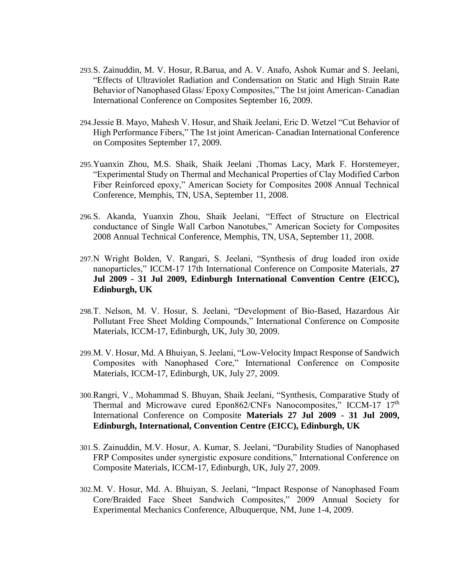- 293.S. Zainuddin, M. V. Hosur, R.Barua, and A. V. Anafo, Ashok Kumar and S. Jeelani, "Effects of Ultraviolet Radiation and Condensation on Static and High Strain Rate Behavior of Nanophased Glass/ Epoxy Composites," The 1st joint American- Canadian International Conference on Composites September 16, 2009.
- 294.Jessie B. Mayo, Mahesh V. Hosur, and Shaik Jeelani, Eric D. Wetzel "Cut Behavior of High Performance Fibers," The 1st joint American- Canadian International Conference on Composites September 17, 2009.
- 295.Yuanxin Zhou, M.S. Shaik, Shaik Jeelani ,Thomas Lacy, Mark F. Horstemeyer, "Experimental Study on Thermal and Mechanical Properties of Clay Modified Carbon Fiber Reinforced epoxy," American Society for Composites 2008 Annual Technical Conference, Memphis, TN, USA, September 11, 2008.
- 296.S. Akanda, Yuanxin Zhou, Shaik Jeelani, "Effect of Structure on Electrical conductance of Single Wall Carbon Nanotubes," American Society for Composites 2008 Annual Technical Conference, Memphis, TN, USA, September 11, 2008.
- 297.N Wright Bolden, V. Rangari, S. Jeelani, "Synthesis of drug loaded iron oxide nanoparticles," ICCM-17 17th International Conference on Composite Materials, **27 Jul 2009 - 31 Jul 2009, Edinburgh International Convention Centre (EICC), Edinburgh, UK**
- 298.T. Nelson, M. V. Hosur, S. Jeelani, "Development of Bio-Based, Hazardous Air Pollutant Free Sheet Molding Compounds," International Conference on Composite Materials, ICCM-17, Edinburgh, UK, July 30, 2009.
- 299.M. V. Hosur, Md. A Bhuiyan, S. Jeelani, "Low-Velocity Impact Response of Sandwich Composites with Nanophased Core," International Conference on Composite Materials, ICCM-17, Edinburgh, UK, July 27, 2009.
- 300.Rangri, V., Mohammad S. Bhuyan, Shaik Jeelani, "Synthesis, Comparative Study of Thermal and Microwave cured Epon862/CNFs Nanocomposites," ICCM-17 17<sup>th</sup> International Conference on Composite **Materials 27 Jul 2009 - 31 Jul 2009, Edinburgh, International, Convention Centre (EICC), Edinburgh, UK**
- 301.S. Zainuddin, M.V. Hosur, A. Kumar, S. Jeelani, "Durability Studies of Nanophased FRP Composites under synergistic exposure conditions," International Conference on Composite Materials, ICCM-17, Edinburgh, UK, July 27, 2009.
- 302.M. V. Hosur, Md. A. Bhuiyan, S. Jeelani, "Impact Response of Nanophased Foam Core/Braided Face Sheet Sandwich Composites," 2009 Annual Society for Experimental Mechanics Conference, Albuquerque, NM, June 1-4, 2009.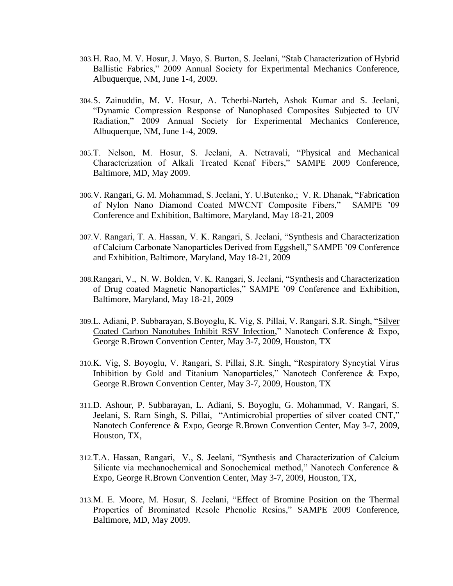- 303.H. Rao, M. V. Hosur, J. Mayo, S. Burton, S. Jeelani, "Stab Characterization of Hybrid Ballistic Fabrics," 2009 Annual Society for Experimental Mechanics Conference, Albuquerque, NM, June 1-4, 2009.
- 304.S. Zainuddin, M. V. Hosur, A. Tcherbi-Narteh, Ashok Kumar and S. Jeelani, "Dynamic Compression Response of Nanophased Composites Subjected to UV Radiation," 2009 Annual Society for Experimental Mechanics Conference, Albuquerque, NM, June 1-4, 2009.
- 305.T. Nelson, M. Hosur, S. Jeelani, A. Netravali, "Physical and Mechanical Characterization of Alkali Treated Kenaf Fibers," SAMPE 2009 Conference, Baltimore, MD, May 2009.
- 306.V. Rangari, G. M. Mohammad, S. Jeelani, Y. U.Butenko,; V. R. Dhanak, "Fabrication of Nylon Nano Diamond Coated MWCNT Composite Fibers," SAMPE '09 Conference and Exhibition, Baltimore, Maryland, May 18-21, 2009
- 307.V. Rangari, T. A. Hassan, V. K. Rangari, S. Jeelani, "Synthesis and Characterization of Calcium Carbonate Nanoparticles Derived from Eggshell," SAMPE '09 Conference and Exhibition, Baltimore, Maryland, May 18-21, 2009
- 308.Rangari, V., N. W. Bolden, V. K. Rangari, S. Jeelani, "Synthesis and Characterization of Drug coated Magnetic Nanoparticles," SAMPE '09 Conference and Exhibition, Baltimore, Maryland, May 18-21, 2009
- 309.L. Adiani, P. Subbarayan, S.Boyoglu, K. Vig, S. Pillai, V. Rangari, S.R. Singh, ["Silver](http://www.nsti.org/Nanotech2009/abs.html?i=357)  [Coated Carbon Nanotubes Inhibit RSV Infection,](http://www.nsti.org/Nanotech2009/abs.html?i=357)" Nanotech Conference & Expo, George R.Brown Convention Center, May 3-7, 2009, Houston, TX
- 310.K. Vig, S. Boyoglu, V. Rangari, S. Pillai, S.R. Singh, "Respiratory Syncytial Virus Inhibition by Gold and Titanium Nanoparticles," Nanotech Conference & Expo, George R.Brown Convention Center, May 3-7, 2009, Houston, TX
- 311.D. Ashour, P. Subbarayan, L. Adiani, S. Boyoglu, G. Mohammad, V. Rangari, S. Jeelani, S. Ram Singh, S. Pillai, "Antimicrobial properties of silver coated CNT," Nanotech Conference & Expo, George R.Brown Convention Center, May 3-7, 2009, Houston, TX,
- 312.T.A. Hassan, Rangari, V., S. Jeelani, "Synthesis and Characterization of Calcium Silicate via mechanochemical and Sonochemical method," Nanotech Conference & Expo, George R.Brown Convention Center, May 3-7, 2009, Houston, TX,
- 313.M. E. Moore, M. Hosur, S. Jeelani, "Effect of Bromine Position on the Thermal Properties of Brominated Resole Phenolic Resins," SAMPE 2009 Conference, Baltimore, MD, May 2009.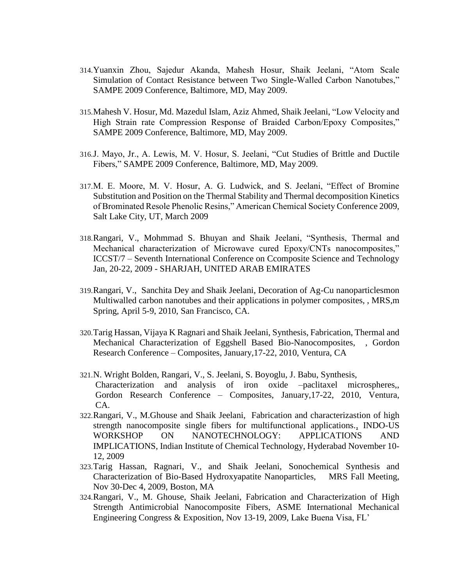- 314.Yuanxin Zhou, Sajedur Akanda, Mahesh Hosur, Shaik Jeelani, "Atom Scale Simulation of Contact Resistance between Two Single-Walled Carbon Nanotubes," SAMPE 2009 Conference, Baltimore, MD, May 2009.
- 315.Mahesh V. Hosur, Md. Mazedul Islam, Aziz Ahmed, Shaik Jeelani, "Low Velocity and High Strain rate Compression Response of Braided Carbon/Epoxy Composites," SAMPE 2009 Conference, Baltimore, MD, May 2009.
- 316.J. Mayo, Jr., A. Lewis, M. V. Hosur, S. Jeelani, "Cut Studies of Brittle and Ductile Fibers," SAMPE 2009 Conference, Baltimore, MD, May 2009.
- 317.M. E. Moore, M. V. Hosur, A. G. Ludwick, and S. Jeelani, "Effect of Bromine Substitution and Position on the Thermal Stability and Thermal decomposition Kinetics of Brominated Resole Phenolic Resins," American Chemical Society Conference 2009, Salt Lake City, UT, March 2009
- 318.Rangari, V., Mohmmad S. Bhuyan and Shaik Jeelani, "Synthesis, Thermal and Mechanical characterization of Microwave cured Epoxy/CNTs nanocomposites," ICCST/7 – Seventh International Conference on Ccomposite Science and Technology Jan, 20-22, 2009 - SHARJAH, UNITED ARAB EMIRATES
- 319.Rangari, V., Sanchita Dey and Shaik Jeelani, Decoration of Ag-Cu nanoparticlesmon Multiwalled carbon nanotubes and their applications in polymer composites, , MRS,m Spring, April 5-9, 2010, San Francisco, CA.
- 320.Tarig Hassan, Vijaya K Ragnari and Shaik Jeelani, Synthesis, Fabrication, Thermal and Mechanical Characterization of Eggshell Based Bio-Nanocomposites, , Gordon Research Conference – Composites, January,17-22, 2010, Ventura, CA
- 321.N. Wright Bolden, Rangari, V., S. Jeelani, S. Boyoglu, J. Babu, Synthesis, Characterization and analysis of iron oxide –paclitaxel microspheres,, Gordon Research Conference – Composites, January,17-22, 2010, Ventura,  $CA$
- 322.Rangari, V., M.Ghouse and Shaik Jeelani, Fabrication and characterizastion of high strength nanocomposite single fibers for multifunctional applications., INDO-US WORKSHOP ON NANOTECHNOLOGY: APPLICATIONS AND IMPLICATIONS, Indian Institute of Chemical Technology, Hyderabad November 10- 12, 2009
- 323.Tarig Hassan, Ragnari, V., and Shaik Jeelani, Sonochemical Synthesis and Characterization of Bio-Based Hydroxyapatite Nanoparticles, MRS Fall Meeting, Nov 30-Dec 4, 2009, Boston, MA
- 324.Rangari, V., M. Ghouse, Shaik Jeelani, Fabrication and Characterization of High Strength Antimicrobial Nanocomposite Fibers, ASME International Mechanical Engineering Congress & Exposition, Nov 13-19, 2009, Lake Buena Visa, FL'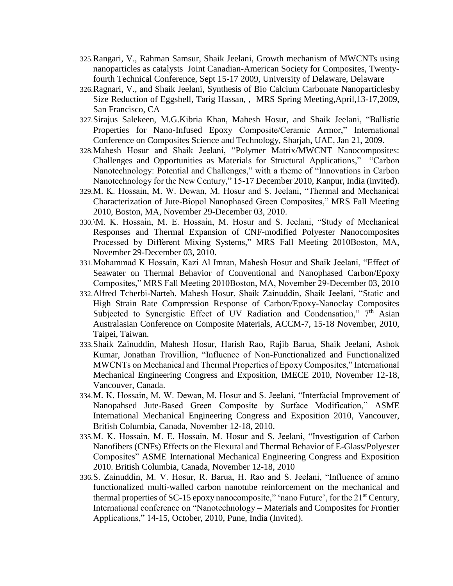- 325.Rangari, V., Rahman Samsur, Shaik Jeelani, Growth mechanism of MWCNTs using nanoparticles as catalysts Joint Canadian-American Society for Composites, Twentyfourth Technical Conference, Sept 15-17 2009, University of Delaware, Delaware
- 326.Ragnari, V., and Shaik Jeelani, Synthesis of Bio Calcium Carbonate Nanoparticlesby Size Reduction of Eggshell, Tarig Hassan, , MRS Spring Meeting,April,13-17,2009, San Francisco, CA
- 327.Sirajus Salekeen, M.G.Kibria Khan, Mahesh Hosur, and Shaik Jeelani, "Ballistic Properties for Nano-Infused Epoxy Composite/Ceramic Armor," International Conference on Composites Science and Technology, Sharjah, UAE, Jan 21, 2009.
- 328.Mahesh Hosur and Shaik Jeelani, "Polymer Matrix/MWCNT Nanocomposites: Challenges and Opportunities as Materials for Structural Applications," "Carbon Nanotechnology: Potential and Challenges," with a theme of "Innovations in Carbon Nanotechnology for the New Century," 15-17 December 2010, Kanpur, India (invited).
- 329.M. K. Hossain, M. W. Dewan, M. Hosur and S. Jeelani, "Thermal and Mechanical Characterization of Jute-Biopol Nanophased Green Composites," MRS Fall Meeting 2010, Boston, MA, November 29-December 03, 2010.
- 330.\M. K. Hossain, M. E. Hossain, M. Hosur and S. Jeelani, "Study of Mechanical Responses and Thermal Expansion of CNF-modified Polyester Nanocomposites Processed by Different Mixing Systems," MRS Fall Meeting 2010Boston, MA, November 29-December 03, 2010.
- 331.Mohammad K Hossain, Kazi Al Imran, Mahesh Hosur and Shaik Jeelani, "Effect of Seawater on Thermal Behavior of Conventional and Nanophased Carbon/Epoxy Composites," MRS Fall Meeting 2010Boston, MA, November 29-December 03, 2010
- 332.Alfred Tcherbi-Narteh, Mahesh Hosur, Shaik Zainuddin, Shaik Jeelani, "Static and High Strain Rate Compression Response of Carbon/Epoxy-Nanoclay Composites Subjected to Synergistic Effect of UV Radiation and Condensation,"  $7<sup>th</sup>$  Asian Australasian Conference on Composite Materials, ACCM-7, 15-18 November, 2010, Taipei, Taiwan.
- 333.Shaik Zainuddin, Mahesh Hosur, Harish Rao, Rajib Barua, Shaik Jeelani, Ashok Kumar, Jonathan Trovillion, "Influence of Non-Functionalized and Functionalized MWCNTs on Mechanical and Thermal Properties of Epoxy Composites," International Mechanical Engineering Congress and Exposition, IMECE 2010, November 12-18, Vancouver, Canada.
- 334.M. K. Hossain, M. W. Dewan, M. Hosur and S. Jeelani, "Interfacial Improvement of Nanopahsed Jute-Based Green Composite by Surface Modification," ASME International Mechanical Engineering Congress and Exposition 2010, Vancouver, British Columbia, Canada, November 12-18, 2010.
- 335.M. K. Hossain, M. E. Hossain, M. Hosur and S. Jeelani, "Investigation of Carbon Nanofibers (CNFs) Effects on the Flexural and Thermal Behavior of E-Glass/Polyester Composites" ASME International Mechanical Engineering Congress and Exposition 2010. British Columbia, Canada, November 12-18, 2010
- 336.S. Zainuddin, M. V. Hosur, R. Barua, H. Rao and S. Jeelani, "Influence of amino functionalized multi-walled carbon nanotube reinforcement on the mechanical and thermal properties of SC-15 epoxy nanocomposite," 'nano Future', for the  $21<sup>st</sup>$  Century, International conference on "Nanotechnology – Materials and Composites for Frontier Applications," 14-15, October, 2010, Pune, India (Invited).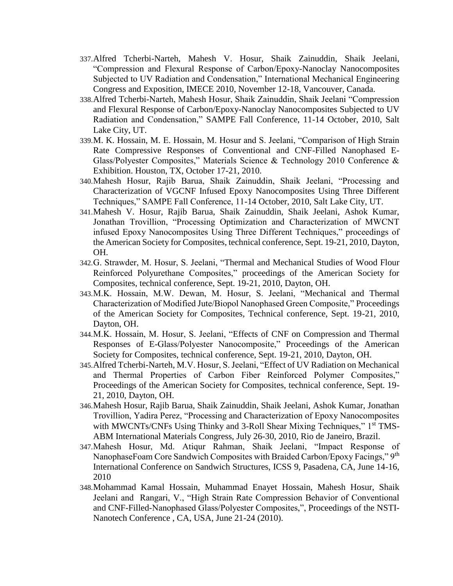- 337.Alfred Tcherbi-Narteh, Mahesh V. Hosur, Shaik Zainuddin, Shaik Jeelani, "Compression and Flexural Response of Carbon/Epoxy-Nanoclay Nanocomposites Subjected to UV Radiation and Condensation," International Mechanical Engineering Congress and Exposition, IMECE 2010, November 12-18, Vancouver, Canada.
- 338.Alfred Tcherbi-Narteh, Mahesh Hosur, Shaik Zainuddin, Shaik Jeelani "Compression and Flexural Response of Carbon/Epoxy-Nanoclay Nanocomposites Subjected to UV Radiation and Condensation," SAMPE Fall Conference, 11-14 October, 2010, Salt Lake City, UT.
- 339.M. K. Hossain, M. E. Hossain, M. Hosur and S. Jeelani, "Comparison of High Strain Rate Compressive Responses of Conventional and CNF-Filled Nanophased E-Glass/Polyester Composites," Materials Science & Technology 2010 Conference & Exhibition. Houston, TX, October 17-21, 2010.
- 340.Mahesh Hosur, Rajib Barua, Shaik Zainuddin, Shaik Jeelani, "Processing and Characterization of VGCNF Infused Epoxy Nanocomposites Using Three Different Techniques," SAMPE Fall Conference, 11-14 October, 2010, Salt Lake City, UT.
- 341.Mahesh V. Hosur, Rajib Barua, Shaik Zainuddin, Shaik Jeelani, Ashok Kumar, Jonathan Trovillion, "Processing Optimization and Characterization of MWCNT infused Epoxy Nanocomposites Using Three Different Techniques," proceedings of the American Society for Composites, technical conference, Sept. 19-21, 2010, Dayton, OH.
- 342.G. Strawder, M. Hosur, S. Jeelani, "Thermal and Mechanical Studies of Wood Flour Reinforced Polyurethane Composites," proceedings of the American Society for Composites, technical conference, Sept. 19-21, 2010, Dayton, OH.
- 343.M.K. Hossain, M.W. Dewan, M. Hosur, S. Jeelani, "Mechanical and Thermal Characterization of Modified Jute/Biopol Nanophased Green Composite," Proceedings of the American Society for Composites, Technical conference, Sept. 19-21, 2010, Dayton, OH.
- 344.M.K. Hossain, M. Hosur, S. Jeelani, "Effects of CNF on Compression and Thermal Responses of E-Glass/Polyester Nanocomposite," Proceedings of the American Society for Composites, technical conference, Sept. 19-21, 2010, Dayton, OH.
- 345.Alfred Tcherbi-Narteh, M.V. Hosur, S. Jeelani, "Effect of UV Radiation on Mechanical and Thermal Properties of Carbon Fiber Reinforced Polymer Composites," Proceedings of the American Society for Composites, technical conference, Sept. 19- 21, 2010, Dayton, OH.
- 346.Mahesh Hosur, Rajib Barua, Shaik Zainuddin, Shaik Jeelani, Ashok Kumar, Jonathan Trovillion, Yadira Perez, "Processing and Characterization of Epoxy Nanocomposites with MWCNTs/CNFs Using Thinky and 3-Roll Shear Mixing Techniques," 1<sup>st</sup> TMS-ABM International Materials Congress, July 26-30, 2010, Rio de Janeiro, Brazil.
- 347.Mahesh Hosur, Md. Atiqur Rahman, Shaik Jeelani, "Impact Response of NanophaseFoam Core Sandwich Composites with Braided Carbon/Epoxy Facings," 9<sup>th</sup> International Conference on Sandwich Structures, ICSS 9, Pasadena, CA, June 14-16, 2010
- 348.Mohammad Kamal Hossain, Muhammad Enayet Hossain, Mahesh Hosur, Shaik Jeelani and Rangari, V., "High Strain Rate Compression Behavior of Conventional and CNF-Filled-Nanophased Glass/Polyester Composites,", Proceedings of the NSTI-Nanotech Conference , CA, USA, June 21-24 (2010).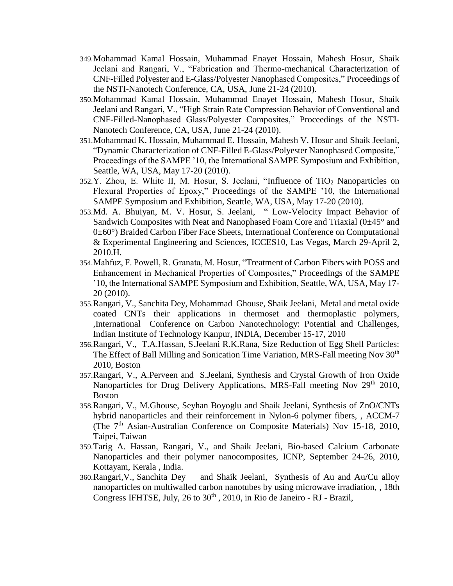- 349.Mohammad Kamal Hossain, Muhammad Enayet Hossain, Mahesh Hosur, Shaik Jeelani and Rangari, V., "Fabrication and Thermo-mechanical Characterization of CNF-Filled Polyester and E-Glass/Polyester Nanophased Composites," Proceedings of the NSTI-Nanotech Conference, CA, USA, June 21-24 (2010).
- 350.Mohammad Kamal Hossain, Muhammad Enayet Hossain, Mahesh Hosur, Shaik Jeelani and Rangari, V., "High Strain Rate Compression Behavior of Conventional and CNF-Filled-Nanophased Glass/Polyester Composites," Proceedings of the NSTI-Nanotech Conference, CA, USA, June 21-24 (2010).
- 351.Mohammad K. Hossain, Muhammad E. Hossain, Mahesh V. Hosur and Shaik Jeelani, "Dynamic Characterization of CNF-Filled E-Glass/Polyester Nanophased Composite," Proceedings of the SAMPE '10, the International SAMPE Symposium and Exhibition, Seattle, WA, USA, May 17-20 (2010).
- 352.Y. Zhou, E. White II, M. Hosur, S. Jeelani, "Influence of TiO<sup>2</sup> Nanoparticles on Flexural Properties of Epoxy," Proceedings of the SAMPE '10, the International SAMPE Symposium and Exhibition, Seattle, WA, USA, May 17-20 (2010).
- 353.Md. A. Bhuiyan, M. V. Hosur, S. Jeelani, " Low-Velocity Impact Behavior of Sandwich Composites with Neat and Nanophased Foam Core and Triaxial  $(0\pm45^{\circ}$  and 0±60°) Braided Carbon Fiber Face Sheets, International Conference on Computational & Experimental Engineering and Sciences, ICCES10, Las Vegas, March 29-April 2, 2010.H.
- 354.Mahfuz, F. Powell, R. Granata, M. Hosur, "Treatment of Carbon Fibers with POSS and Enhancement in Mechanical Properties of Composites," Proceedings of the SAMPE '10, the International SAMPE Symposium and Exhibition, Seattle, WA, USA, May 17- 20 (2010).
- 355.Rangari, V., Sanchita Dey, Mohammad Ghouse, Shaik Jeelani, Metal and metal oxide coated CNTs their applications in thermoset and thermoplastic polymers, ,International Conference on Carbon Nanotechnology: Potential and Challenges, Indian Institute of Technology Kanpur, INDIA, December 15-17, 2010
- 356.Rangari, V., T.A.Hassan, S.Jeelani R.K.Rana, Size Reduction of Egg Shell Particles: The Effect of Ball Milling and Sonication Time Variation, MRS-Fall meeting Nov 30<sup>th</sup> 2010, Boston
- 357.Rangari, V., A.Perveen and S.Jeelani, Synthesis and Crystal Growth of Iron Oxide Nanoparticles for Drug Delivery Applications, MRS-Fall meeting Nov 29<sup>th</sup> 2010, Boston
- 358.Rangari, V., M.Ghouse, Seyhan Boyoglu and Shaik Jeelani, Synthesis of ZnO/CNTs hybrid nanoparticles and their reinforcement in Nylon-6 polymer fibers, , ACCM-7 (The 7<sup>th</sup> Asian-Australian Conference on Composite Materials) Nov 15-18, 2010, Taipei, Taiwan
- 359.Tarig A. Hassan, Rangari, V., and Shaik Jeelani, Bio-based Calcium Carbonate Nanoparticles and their polymer nanocomposites, ICNP, September 24-26, 2010, Kottayam, Kerala , India.
- 360.Rangari,V., Sanchita Dey and Shaik Jeelani, Synthesis of Au and Au/Cu alloy nanoparticles on multiwalled carbon nanotubes by using microwave irradiation, , 18th Congress IFHTSE, July,  $26$  to  $30<sup>th</sup>$ ,  $2010$ , in Rio de Janeiro - RJ - Brazil,